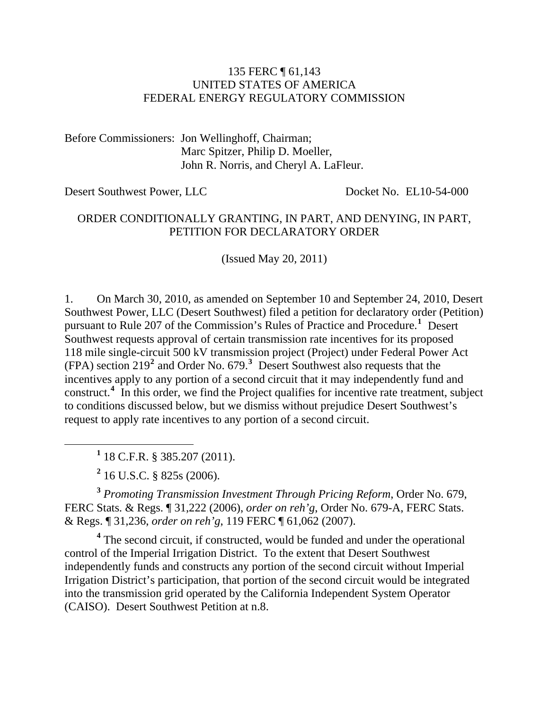#### 135 FERC ¶ 61,143 UNITED STATES OF AMERICA FEDERAL ENERGY REGULATORY COMMISSION

Before Commissioners: Jon Wellinghoff, Chairman; Marc Spitzer, Philip D. Moeller, John R. Norris, and Cheryl A. LaFleur.

Desert Southwest Power, LLC Docket No. EL10-54-000

#### ORDER CONDITIONALLY GRANTING, IN PART, AND DENYING, IN PART, PETITION FOR DECLARATORY ORDER

(Issued May 20, 2011)

1. On March 30, 2010, as amended on September 10 and September 24, 2010, Desert Southwest Power, LLC (Desert Southwest) filed a petition for declaratory order (Petition) pursuant to Rule 207 of the Commission's Rules of Practice and Procedure.**[1](#page-0-0)** Desert Southwest requests approval of certain transmission rate incentives for its proposed 118 mile single-circuit 500 kV transmission project (Project) under Federal Power Act (FPA) section 219**[2](#page-0-1)** and Order No. 679.**[3](#page-0-2)** Desert Southwest also requests that the incentives apply to any portion of a second circuit that it may independently fund and construct.<sup>[4](#page-0-3)</sup> In this order, we find the Project qualifies for incentive rate treatment, subject to conditions discussed below, but we dismiss without prejudice Desert Southwest's request to apply rate incentives to any portion of a second circuit.

<span id="page-0-0"></span> $\frac{1}{1}$ 18 C.F.R. § 385.207 (2011).

**2** 16 U.S.C. § 825s (2006).

<span id="page-0-2"></span><span id="page-0-1"></span>**<sup>3</sup>** *Promoting Transmission Investment Through Pricing Reform*, Order No. 679, FERC Stats. & Regs. ¶ 31,222 (2006), *order on reh'g*, Order No. 679-A, FERC Stats. & Regs. ¶ 31,236, *order on reh'g*, 119 FERC ¶ 61,062 (2007).

<span id="page-0-3"></span><sup>4</sup> The second circuit, if constructed, would be funded and under the operational control of the Imperial Irrigation District. To the extent that Desert Southwest independently funds and constructs any portion of the second circuit without Imperial Irrigation District's participation, that portion of the second circuit would be integrated into the transmission grid operated by the California Independent System Operator (CAISO). Desert Southwest Petition at n.8.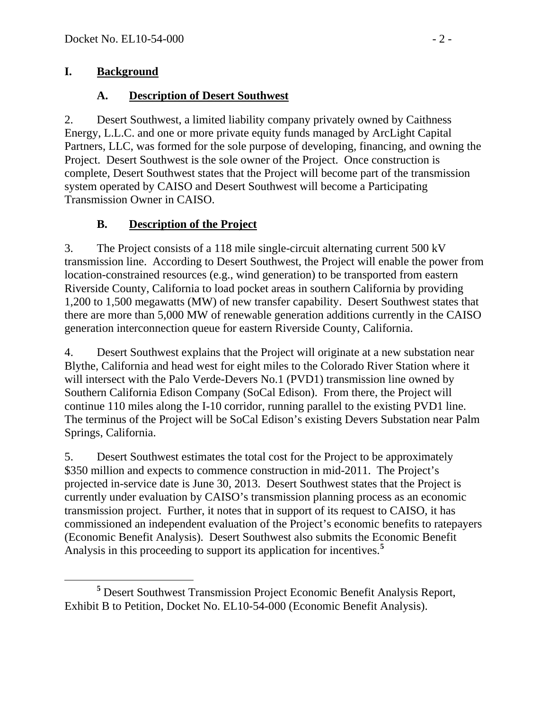#### **I. Background**

### **A. Description of Desert Southwest**

2. Desert Southwest, a limited liability company privately owned by Caithness Energy, L.L.C. and one or more private equity funds managed by ArcLight Capital Partners, LLC, was formed for the sole purpose of developing, financing, and owning the Project. Desert Southwest is the sole owner of the Project. Once construction is complete, Desert Southwest states that the Project will become part of the transmission system operated by CAISO and Desert Southwest will become a Participating Transmission Owner in CAISO.

## **B. Description of the Project**

3. The Project consists of a 118 mile single-circuit alternating current 500 kV transmission line. According to Desert Southwest, the Project will enable the power from location-constrained resources (e.g., wind generation) to be transported from eastern Riverside County, California to load pocket areas in southern California by providing 1,200 to 1,500 megawatts (MW) of new transfer capability. Desert Southwest states that there are more than 5,000 MW of renewable generation additions currently in the CAISO generation interconnection queue for eastern Riverside County, California.

4. Desert Southwest explains that the Project will originate at a new substation near Blythe, California and head west for eight miles to the Colorado River Station where it will intersect with the Palo Verde-Devers No.1 (PVD1) transmission line owned by Southern California Edison Company (SoCal Edison). From there, the Project will continue 110 miles along the I-10 corridor, running parallel to the existing PVD1 line. The terminus of the Project will be SoCal Edison's existing Devers Substation near Palm Springs, California.

5. Desert Southwest estimates the total cost for the Project to be approximately \$350 million and expects to commence construction in mid-2011. The Project's projected in-service date is June 30, 2013. Desert Southwest states that the Project is currently under evaluation by CAISO's transmission planning process as an economic transmission project. Further, it notes that in support of its request to CAISO, it has commissioned an independent evaluation of the Project's economic benefits to ratepayers (Economic Benefit Analysis). Desert Southwest also submits the Economic Benefit Analysis in this proceeding to support its application for incentives.**[5](#page-1-0)**

<span id="page-1-0"></span>**<sup>5</sup>** Desert Southwest Transmission Project Economic Benefit Analysis Report, Exhibit B to Petition, Docket No. EL10-54-000 (Economic Benefit Analysis).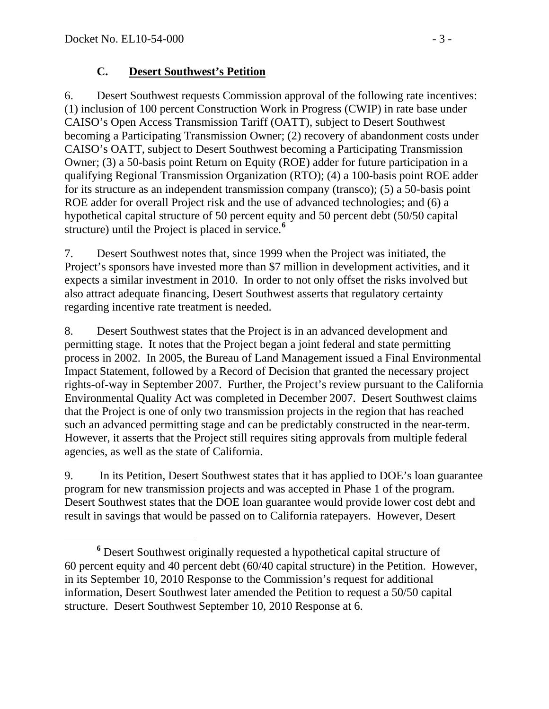#### **C. Desert Southwest's Petition**

6. Desert Southwest requests Commission approval of the following rate incentives: (1) inclusion of 100 percent Construction Work in Progress (CWIP) in rate base under CAISO's Open Access Transmission Tariff (OATT), subject to Desert Southwest becoming a Participating Transmission Owner; (2) recovery of abandonment costs under CAISO's OATT, subject to Desert Southwest becoming a Participating Transmission Owner; (3) a 50-basis point Return on Equity (ROE) adder for future participation in a qualifying Regional Transmission Organization (RTO); (4) a 100-basis point ROE adder for its structure as an independent transmission company (transco); (5) a 50-basis point ROE adder for overall Project risk and the use of advanced technologies; and (6) a hypothetical capital structure of 50 percent equity and 50 percent debt (50/50 capital structure) until the Project is placed in service.**[6](#page-2-0)**

7. Desert Southwest notes that, since 1999 when the Project was initiated, the Project's sponsors have invested more than \$7 million in development activities, and it expects a similar investment in 2010. In order to not only offset the risks involved but also attract adequate financing, Desert Southwest asserts that regulatory certainty regarding incentive rate treatment is needed.

8. Desert Southwest states that the Project is in an advanced development and permitting stage. It notes that the Project began a joint federal and state permitting process in 2002. In 2005, the Bureau of Land Management issued a Final Environmental Impact Statement, followed by a Record of Decision that granted the necessary project rights-of-way in September 2007. Further, the Project's review pursuant to the California Environmental Quality Act was completed in December 2007. Desert Southwest claims that the Project is one of only two transmission projects in the region that has reached such an advanced permitting stage and can be predictably constructed in the near-term. However, it asserts that the Project still requires siting approvals from multiple federal agencies, as well as the state of California.

9. In its Petition, Desert Southwest states that it has applied to DOE's loan guarantee program for new transmission projects and was accepted in Phase 1 of the program. Desert Southwest states that the DOE loan guarantee would provide lower cost debt and result in savings that would be passed on to California ratepayers. However, Desert

<span id="page-2-0"></span>**<sup>6</sup>** Desert Southwest originally requested a hypothetical capital structure of 60 percent equity and 40 percent debt (60/40 capital structure) in the Petition. However, in its September 10, 2010 Response to the Commission's request for additional information, Desert Southwest later amended the Petition to request a 50/50 capital structure. Desert Southwest September 10, 2010 Response at 6.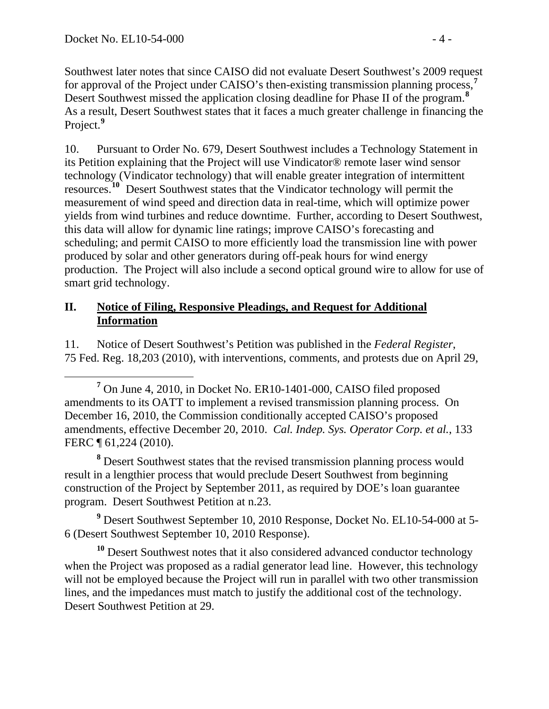Southwest later notes that since CAISO did not evaluate Desert Southwest's 2009 request for approval of the Project under CAISO's then-existing transmission planning process,**<sup>7</sup>** Desert Southwest missed the application closing deadline for Phase II of the program.**<sup>8</sup>** As a result, Desert Southwest states that it faces a much greater challenge in financing the Project.**<sup>9</sup>**

10. Pursuant to Order No. 679, Desert Southwest includes a Technology Statement in its Petition explaining that the Project will use Vindicator® remote laser wind sensor technology (Vindicator technology) that will enable greater integration of intermittent resources.**[10](#page-3-0)** Desert Southwest states that the Vindicator technology will permit the measurement of wind speed and direction data in real-time, which will optimize power yields from wind turbines and reduce downtime. Further, according to Desert Southwest, this data will allow for dynamic line ratings; improve CAISO's forecasting and scheduling; and permit CAISO to more efficiently load the transmission line with power produced by solar and other generators during off-peak hours for wind energy production. The Project will also include a second optical ground wire to allow for use of smart grid technology.

#### **II. Notice of Filing, Responsive Pleadings, and Request for Additional Information**

11. Notice of Desert Southwest's Petition was published in the *Federal Register*, 75 Fed. Reg. 18,203 (2010), with interventions, comments, and protests due on April 29,

<sup>8</sup> Desert Southwest states that the revised transmission planning process would result in a lengthier process that would preclude Desert Southwest from beginning construction of the Project by September 2011, as required by DOE's loan guarantee program. Desert Southwest Petition at n.23.

<sup>9</sup> Desert Southwest September 10, 2010 Response, Docket No. EL10-54-000 at 5-6 (Desert Southwest September 10, 2010 Response).

<span id="page-3-0"></span>**<sup>10</sup>** Desert Southwest notes that it also considered advanced conductor technology when the Project was proposed as a radial generator lead line. However, this technology will not be employed because the Project will run in parallel with two other transmission lines, and the impedances must match to justify the additional cost of the technology. Desert Southwest Petition at 29.

**<sup>7</sup>**  $<sup>7</sup>$  On June 4, 2010, in Docket No. ER10-1401-000, CAISO filed proposed</sup> amendments to its OATT to implement a revised transmission planning process. On December 16, 2010, the Commission conditionally accepted CAISO's proposed amendments, effective December 20, 2010. *Cal. Indep. Sys. Operator Corp. et al.*, 133 FERC ¶ 61,224 (2010).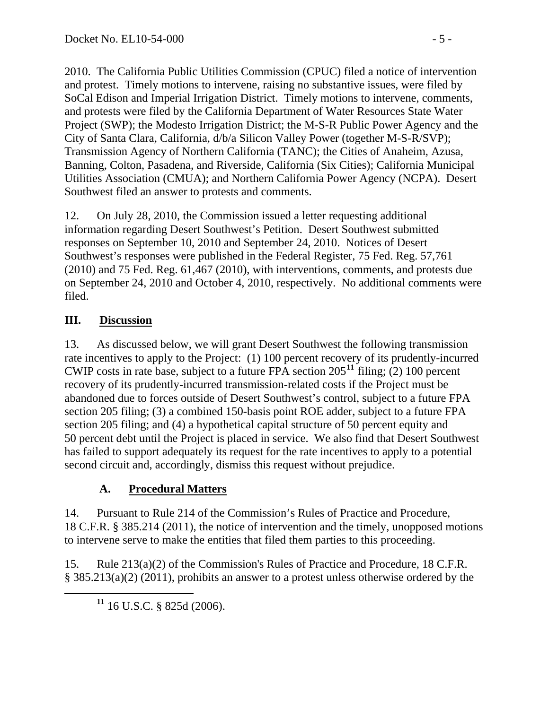2010. The California Public Utilities Commission (CPUC) filed a notice of intervention and protest. Timely motions to intervene, raising no substantive issues, were filed by SoCal Edison and Imperial Irrigation District. Timely motions to intervene, comments, and protests were filed by the California Department of Water Resources State Water Project (SWP); the Modesto Irrigation District; the M-S-R Public Power Agency and the City of Santa Clara, California, d/b/a Silicon Valley Power (together M-S-R/SVP); Transmission Agency of Northern California (TANC); the Cities of Anaheim, Azusa, Banning, Colton, Pasadena, and Riverside, California (Six Cities); California Municipal Utilities Association (CMUA); and Northern California Power Agency (NCPA). Desert Southwest filed an answer to protests and comments.

12. On July 28, 2010, the Commission issued a letter requesting additional information regarding Desert Southwest's Petition. Desert Southwest submitted responses on September 10, 2010 and September 24, 2010. Notices of Desert Southwest's responses were published in the Federal Register, 75 Fed. Reg. 57,761 (2010) and 75 Fed. Reg. 61,467 (2010), with interventions, comments, and protests due on September 24, 2010 and October 4, 2010, respectively. No additional comments were filed.

## **III. Discussion**

13. As discussed below, we will grant Desert Southwest the following transmission rate incentives to apply to the Project: (1) 100 percent recovery of its prudently-incurred CWIP costs in rate base, subject to a future FPA section 205**[11](#page-4-0)** filing; (2) 100 percent recovery of its prudently-incurred transmission-related costs if the Project must be abandoned due to forces outside of Desert Southwest's control, subject to a future FPA section 205 filing; (3) a combined 150-basis point ROE adder, subject to a future FPA section 205 filing; and (4) a hypothetical capital structure of 50 percent equity and 50 percent debt until the Project is placed in service. We also find that Desert Southwest has failed to support adequately its request for the rate incentives to apply to a potential second circuit and, accordingly, dismiss this request without prejudice.

## **A. Procedural Matters**

14. Pursuant to Rule 214 of the Commission's Rules of Practice and Procedure, 18 C.F.R. § 385.214 (2011), the notice of intervention and the timely, unopposed motions to intervene serve to make the entities that filed them parties to this proceeding.

<span id="page-4-0"></span>15. Rule 213(a)(2) of the Commission's Rules of Practice and Procedure, 18 C.F.R. § 385.213(a)(2) (2011), prohibits an answer to a protest unless otherwise ordered by the

**<sup>11</sup>** 16 U.S.C. § 825d (2006).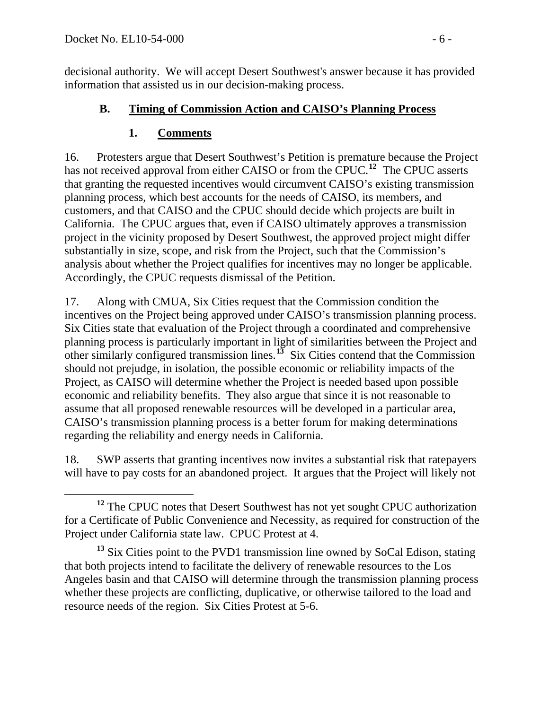decisional authority. We will accept Desert Southwest's answer because it has provided information that assisted us in our decision-making process.

### **B. Timing of Commission Action and CAISO's Planning Process**

## **1. Comments**

16. Protesters argue that Desert Southwest's Petition is premature because the Project has not received approval from either CAISO or from the CPUC.<sup>[12](#page-5-0)</sup> The CPUC asserts that granting the requested incentives would circumvent CAISO's existing transmission planning process, which best accounts for the needs of CAISO, its members, and customers, and that CAISO and the CPUC should decide which projects are built in California. The CPUC argues that, even if CAISO ultimately approves a transmission project in the vicinity proposed by Desert Southwest, the approved project might differ substantially in size, scope, and risk from the Project, such that the Commission's analysis about whether the Project qualifies for incentives may no longer be applicable. Accordingly, the CPUC requests dismissal of the Petition.

17. Along with CMUA, Six Cities request that the Commission condition the incentives on the Project being approved under CAISO's transmission planning process. Six Cities state that evaluation of the Project through a coordinated and comprehensive planning process is particularly important in light of similarities between the Project and other similarly configured transmission lines.**[13](#page-5-1)** Six Cities contend that the Commission should not prejudge, in isolation, the possible economic or reliability impacts of the Project, as CAISO will determine whether the Project is needed based upon possible economic and reliability benefits. They also argue that since it is not reasonable to assume that all proposed renewable resources will be developed in a particular area, CAISO's transmission planning process is a better forum for making determinations regarding the reliability and energy needs in California.

18. SWP asserts that granting incentives now invites a substantial risk that ratepayers will have to pay costs for an abandoned project. It argues that the Project will likely not

<span id="page-5-0"></span>**<sup>12</sup>** The CPUC notes that Desert Southwest has not yet sought CPUC authorization for a Certificate of Public Convenience and Necessity, as required for construction of the Project under California state law. CPUC Protest at 4.

<span id="page-5-1"></span>**<sup>13</sup>** Six Cities point to the PVD1 transmission line owned by SoCal Edison, stating that both projects intend to facilitate the delivery of renewable resources to the Los Angeles basin and that CAISO will determine through the transmission planning process whether these projects are conflicting, duplicative, or otherwise tailored to the load and resource needs of the region. Six Cities Protest at 5-6.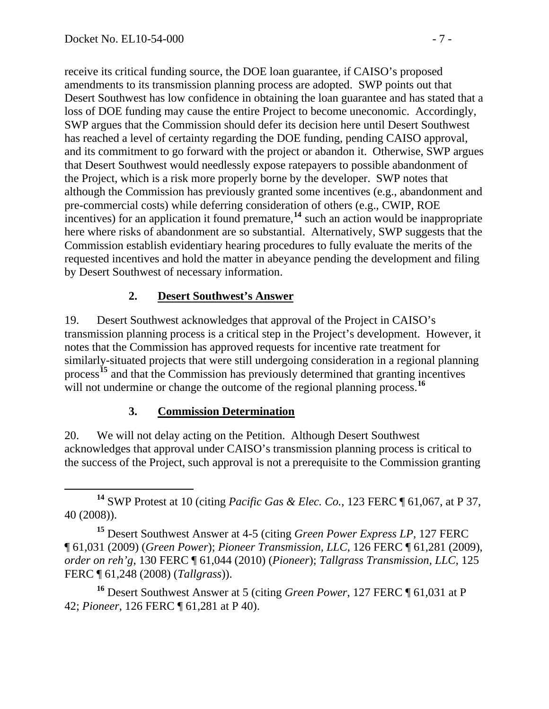receive its critical funding source, the DOE loan guarantee, if CAISO's proposed amendments to its transmission planning process are adopted. SWP points out that Desert Southwest has low confidence in obtaining the loan guarantee and has stated that a loss of DOE funding may cause the entire Project to become uneconomic. Accordingly, SWP argues that the Commission should defer its decision here until Desert Southwest has reached a level of certainty regarding the DOE funding, pending CAISO approval, and its commitment to go forward with the project or abandon it. Otherwise, SWP argues that Desert Southwest would needlessly expose ratepayers to possible abandonment of the Project, which is a risk more properly borne by the developer. SWP notes that although the Commission has previously granted some incentives (e.g., abandonment and pre-commercial costs) while deferring consideration of others (e.g., CWIP, ROE incentives) for an application it found premature,**<sup>14</sup>** such an action would be inappropriate here where risks of abandonment are so substantial. Alternatively, SWP suggests that the Commission establish evidentiary hearing procedures to fully evaluate the merits of the requested incentives and hold the matter in abeyance pending the development and filing by Desert Southwest of necessary information.

### **2. Desert Southwest's Answer**

19. Desert Southwest acknowledges that approval of the Project in CAISO's transmission planning process is a critical step in the Project's development. However, it notes that the Commission has approved requests for incentive rate treatment for similarly-situated projects that were still undergoing consideration in a regional planning process**[15](#page-6-0)** and that the Commission has previously determined that granting incentives will not undermine or change the outcome of the regional planning process.<sup>[16](#page-6-1)</sup>

#### **3. Commission Determination**

20. We will not delay acting on the Petition. Although Desert Southwest acknowledges that approval under CAISO's transmission planning process is critical to the success of the Project, such approval is not a prerequisite to the Commission granting

<span id="page-6-0"></span>**<sup>15</sup>** Desert Southwest Answer at 4-5 (citing *Green Power Express LP*, 127 FERC ¶ 61,031 (2009) (*Green Power*); *Pioneer Transmission, LLC*, 126 FERC ¶ 61,281 (2009), *order on reh'g*, 130 FERC ¶ 61,044 (2010) (*Pioneer*); *Tallgrass Transmission, LLC*, 125 FERC ¶ 61,248 (2008) (*Tallgrass*)).

<span id="page-6-1"></span>**<sup>16</sup>** Desert Southwest Answer at 5 (citing *Green Power*, 127 FERC ¶ 61,031 at P 42; *Pioneer*, 126 FERC ¶ 61,281 at P 40).

**<sup>14</sup>** SWP Protest at 10 (citing *Pacific Gas & Elec. Co.*, 123 FERC ¶ 61,067, at P 37, 40 (2008)).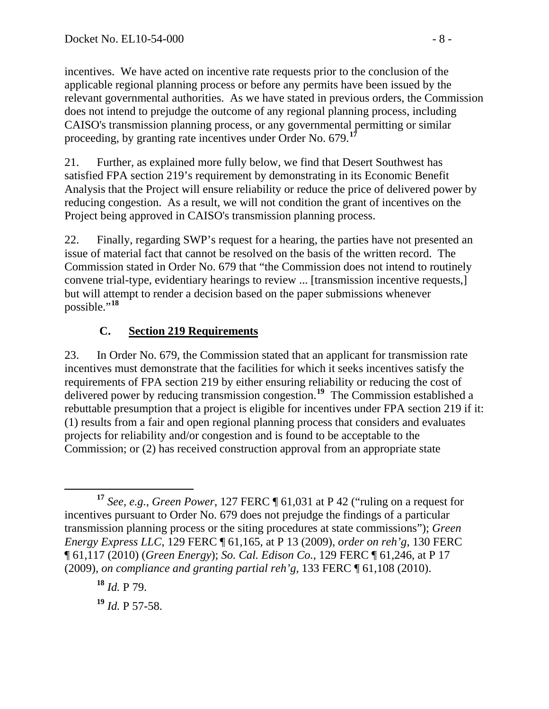incentives. We have acted on incentive rate requests prior to the conclusion of the applicable regional planning process or before any permits have been issued by the relevant governmental authorities. As we have stated in previous orders, the Commission does not intend to prejudge the outcome of any regional planning process, including CAISO's transmission planning process, or any governmental permitting or similar proceeding, by granting rate incentives under Order No. 679.**<sup>17</sup>**

21. Further, as explained more fully below, we find that Desert Southwest has satisfied FPA section 219's requirement by demonstrating in its Economic Benefit Analysis that the Project will ensure reliability or reduce the price of delivered power by reducing congestion. As a result, we will not condition the grant of incentives on the Project being approved in CAISO's transmission planning process.

22. Finally, regarding SWP's request for a hearing, the parties have not presented an issue of material fact that cannot be resolved on the basis of the written record. The Commission stated in Order No. 679 that "the Commission does not intend to routinely convene trial-type, evidentiary hearings to review ... [transmission incentive requests,] but will attempt to render a decision based on the paper submissions whenever possible."**[18](#page-7-0)**

## **C. Section 219 Requirements**

23. In Order No. 679, the Commission stated that an applicant for transmission rate incentives must demonstrate that the facilities for which it seeks incentives satisfy the requirements of FPA section 219 by either ensuring reliability or reducing the cost of delivered power by reducing transmission congestion.**[19](#page-7-1)** The Commission established a rebuttable presumption that a project is eligible for incentives under FPA section 219 if it: (1) results from a fair and open regional planning process that considers and evaluates projects for reliability and/or congestion and is found to be acceptable to the Commission; or (2) has received construction approval from an appropriate state

<span id="page-7-1"></span>**<sup>19</sup>** *Id.* P 57-58.

**<sup>17</sup>** *See, e.g.*, *Green Power*, 127 FERC ¶ 61,031 at P 42 ("ruling on a request for incentives pursuant to Order No. 679 does not prejudge the findings of a particular transmission planning process or the siting procedures at state commissions"); *Green Energy Express LLC*, 129 FERC ¶ 61,165, at P 13 (2009), *order on reh'g*, 130 FERC ¶ 61,117 (2010) (*Green Energy*); *So. Cal. Edison Co.*, 129 FERC ¶ 61,246, at P 17 (2009), *on compliance and granting partial reh'g,* 133 FERC ¶ 61,108 (2010).

<span id="page-7-0"></span>**<sup>18</sup>** *Id.* P 79.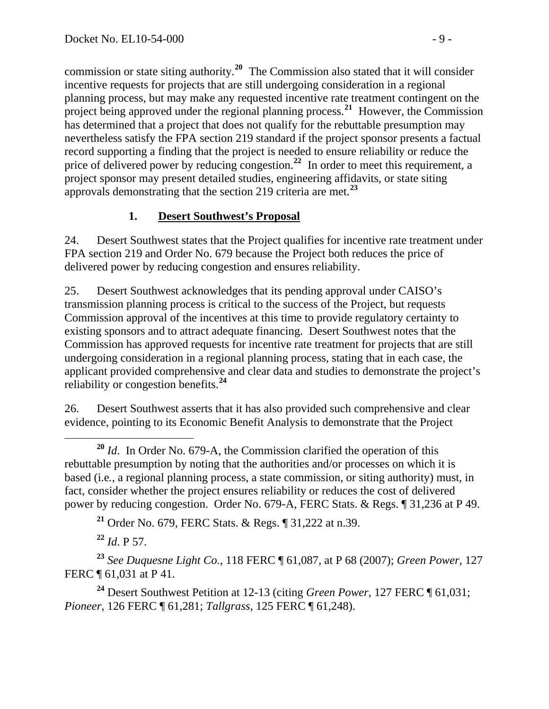commission or state siting authority.**<sup>20</sup>** The Commission also stated that it will consider incentive requests for projects that are still undergoing consideration in a regional planning process, but may make any requested incentive rate treatment contingent on the project being approved under the regional planning process.<sup>21</sup> However, the Commission has determined that a project that does not qualify for the rebuttable presumption may nevertheless satisfy the FPA section 219 standard if the project sponsor presents a factual record supporting a finding that the project is needed to ensure reliability or reduce the price of delivered power by reducing congestion.<sup>22</sup> In order to meet this requirement, a project sponsor may present detailed studies, engineering affidavits, or state siting approvals demonstrating that the section 219 criteria are met.**<sup>23</sup>**

### **1. Desert Southwest's Proposal**

24. Desert Southwest states that the Project qualifies for incentive rate treatment under FPA section 219 and Order No. 679 because the Project both reduces the price of delivered power by reducing congestion and ensures reliability.

25. Desert Southwest acknowledges that its pending approval under CAISO's transmission planning process is critical to the success of the Project, but requests Commission approval of the incentives at this time to provide regulatory certainty to existing sponsors and to attract adequate financing. Desert Southwest notes that the Commission has approved requests for incentive rate treatment for projects that are still undergoing consideration in a regional planning process, stating that in each case, the applicant provided comprehensive and clear data and studies to demonstrate the project's reliability or congestion benefits.**[24](#page-8-0)**

26. Desert Southwest asserts that it has also provided such comprehensive and clear evidence, pointing to its Economic Benefit Analysis to demonstrate that the Project

**<sup>21</sup>** Order No. 679, FERC Stats. & Regs. ¶ 31,222 at n.39.

**<sup>22</sup>** *Id*. P 57.

**<sup>23</sup>** *See Duquesne Light Co.*, 118 FERC ¶ 61,087, at P 68 (2007); *Green Power*, 127 FERC ¶ 61,031 at P 41.

<span id="page-8-0"></span>**<sup>24</sup>** Desert Southwest Petition at 12-13 (citing *Green Power*, 127 FERC ¶ 61,031; *Pioneer*, 126 FERC ¶ 61,281; *Tallgrass*, 125 FERC ¶ 61,248).

**<sup>20</sup>** *Id*. In Order No. 679-A, the Commission clarified the operation of this rebuttable presumption by noting that the authorities and/or processes on which it is based (i.e*.*, a regional planning process, a state commission, or siting authority) must, in fact, consider whether the project ensures reliability or reduces the cost of delivered power by reducing congestion. Order No. 679-A, FERC Stats. & Regs. ¶ 31,236 at P 49.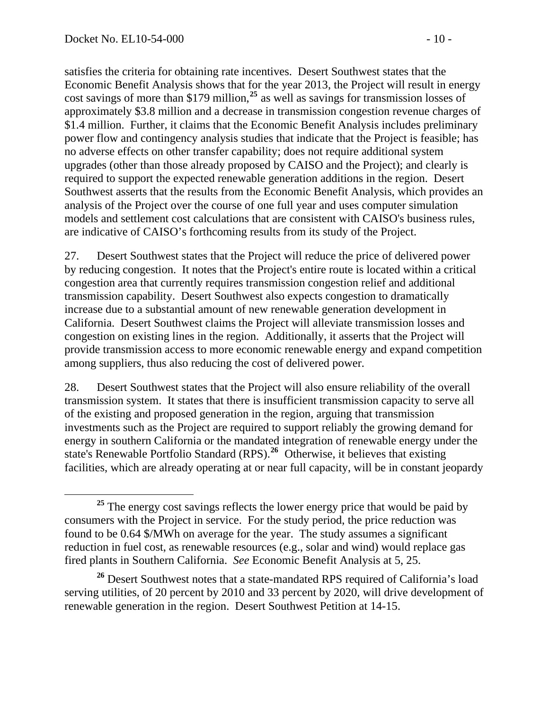satisfies the criteria for obtaining rate incentives. Desert Southwest states that the Economic Benefit Analysis shows that for the year 2013, the Project will result in energy cost savings of more than \$179 million,**<sup>25</sup>** as well as savings for transmission losses of approximately \$3.8 million and a decrease in transmission congestion revenue charges of \$1.4 million. Further, it claims that the Economic Benefit Analysis includes preliminary power flow and contingency analysis studies that indicate that the Project is feasible; has no adverse effects on other transfer capability; does not require additional system upgrades (other than those already proposed by CAISO and the Project); and clearly is required to support the expected renewable generation additions in the region. Desert Southwest asserts that the results from the Economic Benefit Analysis, which provides an analysis of the Project over the course of one full year and uses computer simulation models and settlement cost calculations that are consistent with CAISO's business rules, are indicative of CAISO's forthcoming results from its study of the Project.

27. Desert Southwest states that the Project will reduce the price of delivered power by reducing congestion. It notes that the Project's entire route is located within a critical congestion area that currently requires transmission congestion relief and additional transmission capability. Desert Southwest also expects congestion to dramatically increase due to a substantial amount of new renewable generation development in California. Desert Southwest claims the Project will alleviate transmission losses and congestion on existing lines in the region. Additionally, it asserts that the Project will provide transmission access to more economic renewable energy and expand competition among suppliers, thus also reducing the cost of delivered power.

28. Desert Southwest states that the Project will also ensure reliability of the overall transmission system. It states that there is insufficient transmission capacity to serve all of the existing and proposed generation in the region, arguing that transmission investments such as the Project are required to support reliably the growing demand for energy in southern California or the mandated integration of renewable energy under the state's Renewable Portfolio Standard (RPS).**[26](#page-9-0)** Otherwise, it believes that existing facilities, which are already operating at or near full capacity, will be in constant jeopardy

<sup>&</sup>lt;sup>25</sup> The energy cost savings reflects the lower energy price that would be paid by consumers with the Project in service. For the study period, the price reduction was found to be 0.64 \$/MWh on average for the year. The study assumes a significant reduction in fuel cost, as renewable resources (e.g., solar and wind) would replace gas fired plants in Southern California. *See* Economic Benefit Analysis at 5, 25.

<span id="page-9-0"></span>**<sup>26</sup>** Desert Southwest notes that a state-mandated RPS required of California's load serving utilities, of 20 percent by 2010 and 33 percent by 2020, will drive development of renewable generation in the region. Desert Southwest Petition at 14-15.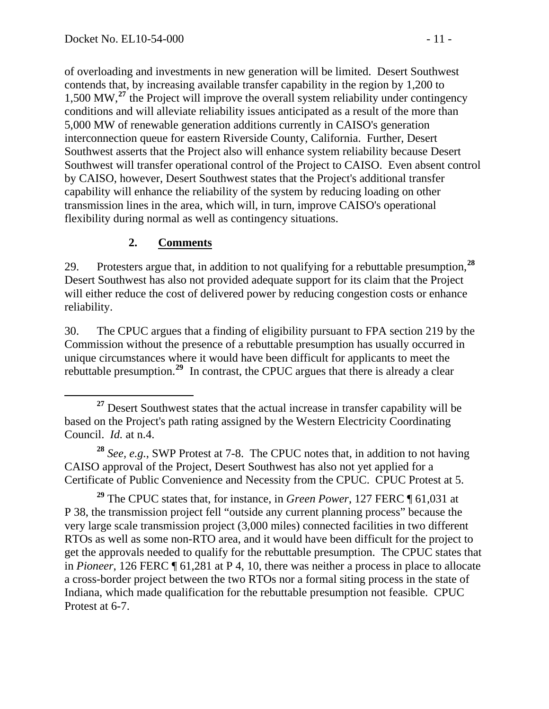of overloading and investments in new generation will be limited. Desert Southwest contends that, by increasing available transfer capability in the region by 1,200 to 1,500 MW,**<sup>27</sup>** the Project will improve the overall system reliability under contingency conditions and will alleviate reliability issues anticipated as a result of the more than 5,000 MW of renewable generation additions currently in CAISO's generation interconnection queue for eastern Riverside County, California. Further, Desert Southwest asserts that the Project also will enhance system reliability because Desert Southwest will transfer operational control of the Project to CAISO. Even absent control by CAISO, however, Desert Southwest states that the Project's additional transfer capability will enhance the reliability of the system by reducing loading on other transmission lines in the area, which will, in turn, improve CAISO's operational flexibility during normal as well as contingency situations.

## **2. Comments**

29. Protesters argue that, in addition to not qualifying for a rebuttable presumption,**[28](#page-10-0)** Desert Southwest has also not provided adequate support for its claim that the Project will either reduce the cost of delivered power by reducing congestion costs or enhance reliability.

30. The CPUC argues that a finding of eligibility pursuant to FPA section 219 by the Commission without the presence of a rebuttable presumption has usually occurred in unique circumstances where it would have been difficult for applicants to meet the rebuttable presumption.**[29](#page-10-1)** In contrast, the CPUC argues that there is already a clear

<span id="page-10-0"></span>**<sup>28</sup>** *See, e.g.*, SWP Protest at 7-8. The CPUC notes that, in addition to not having CAISO approval of the Project, Desert Southwest has also not yet applied for a Certificate of Public Convenience and Necessity from the CPUC. CPUC Protest at 5.

<span id="page-10-1"></span>**<sup>29</sup>** The CPUC states that, for instance, in *Green Power*, 127 FERC ¶ 61,031 at P 38, the transmission project fell "outside any current planning process" because the very large scale transmission project (3,000 miles) connected facilities in two different RTOs as well as some non-RTO area, and it would have been difficult for the project to get the approvals needed to qualify for the rebuttable presumption. The CPUC states that in *Pioneer*, 126 FERC ¶ 61,281 at P 4, 10, there was neither a process in place to allocate a cross-border project between the two RTOs nor a formal siting process in the state of Indiana, which made qualification for the rebuttable presumption not feasible. CPUC Protest at 6-7.

**<sup>27</sup>** Desert Southwest states that the actual increase in transfer capability will be based on the Project's path rating assigned by the Western Electricity Coordinating Council. *Id.* at n.4.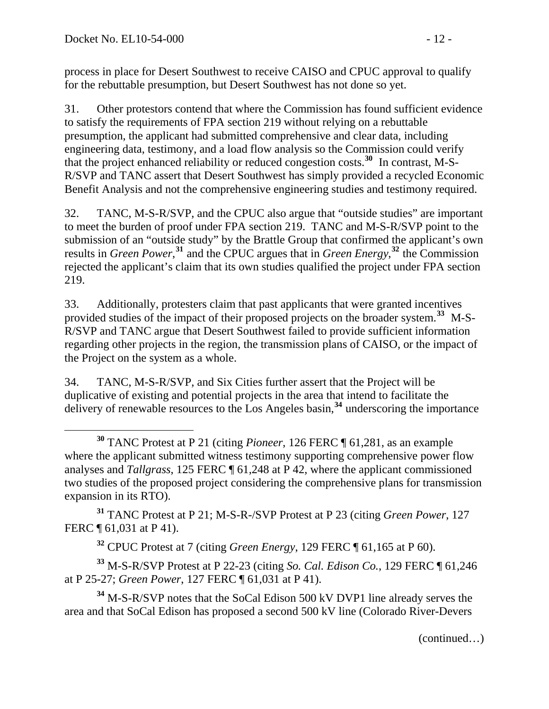process in place for Desert Southwest to receive CAISO and CPUC approval to qualify for the rebuttable presumption, but Desert Southwest has not done so yet.

31. Other protestors contend that where the Commission has found sufficient evidence to satisfy the requirements of FPA section 219 without relying on a rebuttable presumption, the applicant had submitted comprehensive and clear data, including engineering data, testimony, and a load flow analysis so the Commission could verify that the project enhanced reliability or reduced congestion costs.**[30](#page-11-0)** In contrast, M-S-R/SVP and TANC assert that Desert Southwest has simply provided a recycled Economic Benefit Analysis and not the comprehensive engineering studies and testimony required.

32. TANC, M-S-R/SVP, and the CPUC also argue that "outside studies" are important to meet the burden of proof under FPA section 219. TANC and M-S-R/SVP point to the submission of an "outside study" by the Brattle Group that confirmed the applicant's own results in *Green Power*, **[31](#page-11-1)** and the CPUC argues that in *Green Energy*, **[32](#page-11-2)** the Commission rejected the applicant's claim that its own studies qualified the project under FPA section 219.

33. Additionally, protesters claim that past applicants that were granted incentives provided studies of the impact of their proposed projects on the broader system.**[33](#page-11-3)** M-S-R/SVP and TANC argue that Desert Southwest failed to provide sufficient information regarding other projects in the region, the transmission plans of CAISO, or the impact of the Project on the system as a whole.

34. TANC, M-S-R/SVP, and Six Cities further assert that the Project will be duplicative of existing and potential projects in the area that intend to facilitate the delivery of renewable resources to the Los Angeles basin,**[34](#page-11-4)** underscoring the importance

<span id="page-11-1"></span>**<sup>31</sup>** TANC Protest at P 21; M-S-R-/SVP Protest at P 23 (citing *Green Power*, 127 FERC ¶ 61,031 at P 41).

**<sup>32</sup>** CPUC Protest at 7 (citing *Green Energy*, 129 FERC ¶ 61,165 at P 60).

<span id="page-11-3"></span><span id="page-11-2"></span>**<sup>33</sup>** M-S-R/SVP Protest at P 22-23 (citing *So. Cal. Edison Co.*, 129 FERC ¶ 61,246 at P 25-27; *Green Power*, 127 FERC ¶ 61,031 at P 41).

<span id="page-11-4"></span>**<sup>34</sup>** M-S-R/SVP notes that the SoCal Edison 500 kV DVP1 line already serves the area and that SoCal Edison has proposed a second 500 kV line (Colorado River-Devers

(continued…)

<span id="page-11-0"></span> $\overline{a}$ **<sup>30</sup>** TANC Protest at P 21 (citing *Pioneer*, 126 FERC ¶ 61,281, as an example where the applicant submitted witness testimony supporting comprehensive power flow analyses and *Tallgrass*, 125 FERC ¶ 61,248 at P 42, where the applicant commissioned two studies of the proposed project considering the comprehensive plans for transmission expansion in its RTO).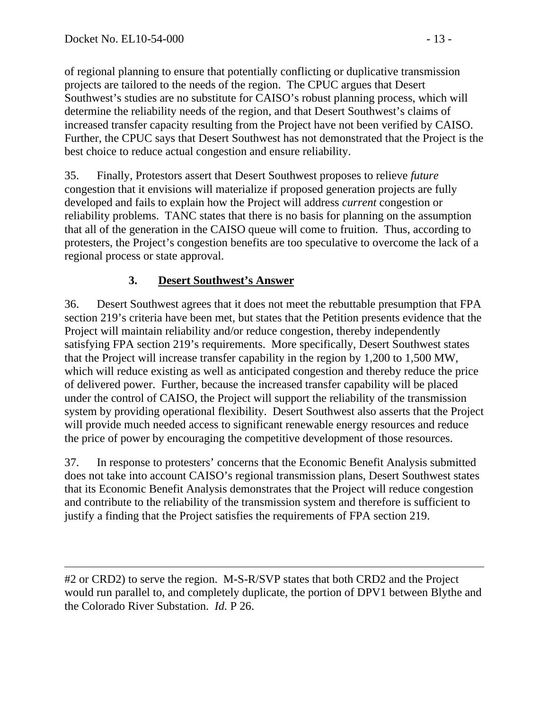of regional planning to ensure that potentially conflicting or duplicative transmission projects are tailored to the needs of the region. The CPUC argues that Desert Southwest's studies are no substitute for CAISO's robust planning process, which will determine the reliability needs of the region, and that Desert Southwest's claims of increased transfer capacity resulting from the Project have not been verified by CAISO. Further, the CPUC says that Desert Southwest has not demonstrated that the Project is the best choice to reduce actual congestion and ensure reliability.

35. Finally, Protestors assert that Desert Southwest proposes to relieve *future*  congestion that it envisions will materialize if proposed generation projects are fully developed and fails to explain how the Project will address *current* congestion or reliability problems. TANC states that there is no basis for planning on the assumption that all of the generation in the CAISO queue will come to fruition. Thus, according to protesters, the Project's congestion benefits are too speculative to overcome the lack of a regional process or state approval.

### **3. Desert Southwest's Answer**

36. Desert Southwest agrees that it does not meet the rebuttable presumption that FPA section 219's criteria have been met, but states that the Petition presents evidence that the Project will maintain reliability and/or reduce congestion, thereby independently satisfying FPA section 219's requirements. More specifically, Desert Southwest states that the Project will increase transfer capability in the region by 1,200 to 1,500 MW, which will reduce existing as well as anticipated congestion and thereby reduce the price of delivered power. Further, because the increased transfer capability will be placed under the control of CAISO, the Project will support the reliability of the transmission system by providing operational flexibility. Desert Southwest also asserts that the Project will provide much needed access to significant renewable energy resources and reduce the price of power by encouraging the competitive development of those resources.

37. In response to protesters' concerns that the Economic Benefit Analysis submitted does not take into account CAISO's regional transmission plans, Desert Southwest states that its Economic Benefit Analysis demonstrates that the Project will reduce congestion and contribute to the reliability of the transmission system and therefore is sufficient to justify a finding that the Project satisfies the requirements of FPA section 219.

 $\overline{a}$ #2 or CRD2) to serve the region. M-S-R/SVP states that both CRD2 and the Project would run parallel to, and completely duplicate, the portion of DPV1 between Blythe and the Colorado River Substation. *Id.* P 26.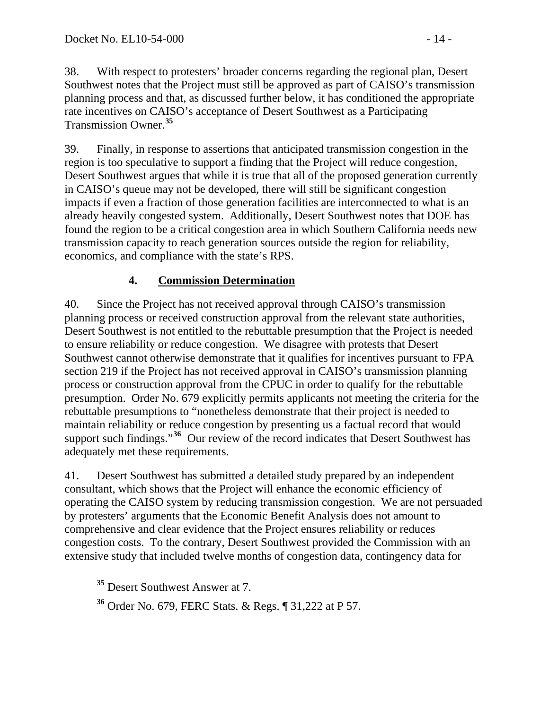38. With respect to protesters' broader concerns regarding the regional plan, Desert Southwest notes that the Project must still be approved as part of CAISO's transmission planning process and that, as discussed further below, it has conditioned the appropriate rate incentives on CAISO's acceptance of Desert Southwest as a Participating Transmission Owner.**[35](#page-13-0)**

39. Finally, in response to assertions that anticipated transmission congestion in the region is too speculative to support a finding that the Project will reduce congestion, Desert Southwest argues that while it is true that all of the proposed generation currently in CAISO's queue may not be developed, there will still be significant congestion impacts if even a fraction of those generation facilities are interconnected to what is an already heavily congested system. Additionally, Desert Southwest notes that DOE has found the region to be a critical congestion area in which Southern California needs new transmission capacity to reach generation sources outside the region for reliability, economics, and compliance with the state's RPS.

### **4. Commission Determination**

40. Since the Project has not received approval through CAISO's transmission planning process or received construction approval from the relevant state authorities, Desert Southwest is not entitled to the rebuttable presumption that the Project is needed to ensure reliability or reduce congestion. We disagree with protests that Desert Southwest cannot otherwise demonstrate that it qualifies for incentives pursuant to FPA section 219 if the Project has not received approval in CAISO's transmission planning process or construction approval from the CPUC in order to qualify for the rebuttable presumption. Order No. 679 explicitly permits applicants not meeting the criteria for the rebuttable presumptions to "nonetheless demonstrate that their project is needed to maintain reliability or reduce congestion by presenting us a factual record that would support such findings."<sup>[36](#page-13-1)</sup> Our review of the record indicates that Desert Southwest has adequately met these requirements.

41. Desert Southwest has submitted a detailed study prepared by an independent consultant, which shows that the Project will enhance the economic efficiency of operating the CAISO system by reducing transmission congestion. We are not persuaded by protesters' arguments that the Economic Benefit Analysis does not amount to comprehensive and clear evidence that the Project ensures reliability or reduces congestion costs. To the contrary, Desert Southwest provided the Commission with an extensive study that included twelve months of congestion data, contingency data for

<span id="page-13-0"></span>**<sup>35</sup>** Desert Southwest Answer at 7.

<span id="page-13-1"></span>**<sup>36</sup>** Order No. 679, FERC Stats. & Regs. ¶ 31,222 at P 57.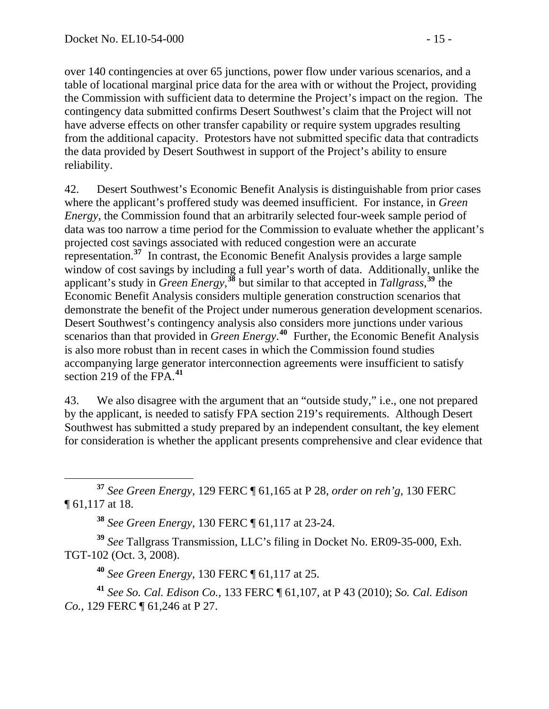over 140 contingencies at over 65 junctions, power flow under various scenarios, and a table of locational marginal price data for the area with or without the Project, providing the Commission with sufficient data to determine the Project's impact on the region. The contingency data submitted confirms Desert Southwest's claim that the Project will not have adverse effects on other transfer capability or require system upgrades resulting from the additional capacity. Protestors have not submitted specific data that contradicts the data provided by Desert Southwest in support of the Project's ability to ensure reliability.

42. Desert Southwest's Economic Benefit Analysis is distinguishable from prior cases where the applicant's proffered study was deemed insufficient. For instance, in *Green Energy*, the Commission found that an arbitrarily selected four-week sample period of data was too narrow a time period for the Commission to evaluate whether the applicant's projected cost savings associated with reduced congestion were an accurate representation.**[37](#page-14-0)** In contrast, the Economic Benefit Analysis provides a large sample window of cost savings by including a full year's worth of data. Additionally, unlike the applicant's study in *Green Energy*, **[38](#page-14-1)** but similar to that accepted in *Tallgrass*, **[39](#page-14-2)** the Economic Benefit Analysis considers multiple generation construction scenarios that demonstrate the benefit of the Project under numerous generation development scenarios. Desert Southwest's contingency analysis also considers more junctions under various scenarios than that provided in *Green Energy*.<sup>[40](#page-14-3)</sup> Further, the Economic Benefit Analysis is also more robust than in recent cases in which the Commission found studies accompanying large generator interconnection agreements were insufficient to satisfy section 219 of the FPA.**[41](#page-14-4)**

43. We also disagree with the argument that an "outside study," i.e., one not prepared by the applicant, is needed to satisfy FPA section 219's requirements. Although Desert Southwest has submitted a study prepared by an independent consultant, the key element for consideration is whether the applicant presents comprehensive and clear evidence that

<span id="page-14-0"></span> **<sup>37</sup>** *See Green Energy*, 129 FERC ¶ 61,165 at P 28, *order on reh'g*, 130 FERC ¶ 61,117 at 18.

**<sup>38</sup>** *See Green Energy*, 130 FERC ¶ 61,117 at 23-24.

<span id="page-14-2"></span><span id="page-14-1"></span>**<sup>39</sup>** *See* Tallgrass Transmission, LLC's filing in Docket No. ER09-35-000, Exh. TGT-102 (Oct. 3, 2008).

**<sup>40</sup>** *See Green Energy*, 130 FERC ¶ 61,117 at 25.

<span id="page-14-4"></span><span id="page-14-3"></span>**<sup>41</sup>** *See So. Cal. Edison Co.*, 133 FERC ¶ 61,107, at P 43 (2010); *So. Cal. Edison Co.*, 129 FERC ¶ 61,246 at P 27.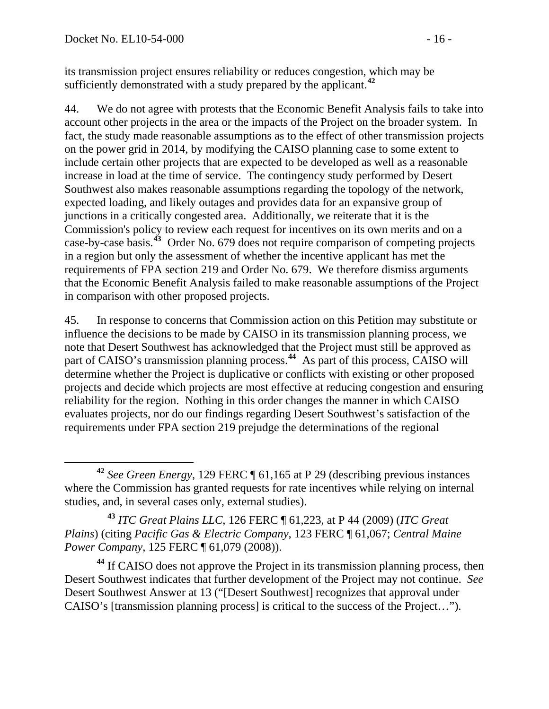its transmission project ensures reliability or reduces congestion, which may be sufficiently demonstrated with a study prepared by the applicant.**<sup>42</sup>**

44. We do not agree with protests that the Economic Benefit Analysis fails to take into account other projects in the area or the impacts of the Project on the broader system. In fact, the study made reasonable assumptions as to the effect of other transmission projects on the power grid in 2014, by modifying the CAISO planning case to some extent to include certain other projects that are expected to be developed as well as a reasonable increase in load at the time of service. The contingency study performed by Desert Southwest also makes reasonable assumptions regarding the topology of the network, expected loading, and likely outages and provides data for an expansive group of junctions in a critically congested area. Additionally, we reiterate that it is the Commission's policy to review each request for incentives on its own merits and on a case-by-case basis.**[43](#page-15-0)** Order No. 679 does not require comparison of competing projects in a region but only the assessment of whether the incentive applicant has met the requirements of FPA section 219 and Order No. 679. We therefore dismiss arguments that the Economic Benefit Analysis failed to make reasonable assumptions of the Project in comparison with other proposed projects.

45. In response to concerns that Commission action on this Petition may substitute or influence the decisions to be made by CAISO in its transmission planning process, we note that Desert Southwest has acknowledged that the Project must still be approved as part of CAISO's transmission planning process.**[44](#page-15-1)** As part of this process, CAISO will determine whether the Project is duplicative or conflicts with existing or other proposed projects and decide which projects are most effective at reducing congestion and ensuring reliability for the region. Nothing in this order changes the manner in which CAISO evaluates projects, nor do our findings regarding Desert Southwest's satisfaction of the requirements under FPA section 219 prejudge the determinations of the regional

<span id="page-15-0"></span>**<sup>43</sup>** *ITC Great Plains LLC*, 126 FERC ¶ 61,223, at P 44 (2009) (*ITC Great Plains*) (citing *Pacific Gas & Electric Company*, 123 FERC ¶ 61,067; *Central Maine Power Company*, 125 FERC ¶ 61,079 (2008)).

<span id="page-15-1"></span>**<sup>44</sup>** If CAISO does not approve the Project in its transmission planning process, then Desert Southwest indicates that further development of the Project may not continue. *See* Desert Southwest Answer at 13 ("[Desert Southwest] recognizes that approval under CAISO's [transmission planning process] is critical to the success of the Project…").

**<sup>42</sup>** *See Green Energy*, 129 FERC ¶ 61,165 at P 29 (describing previous instances where the Commission has granted requests for rate incentives while relying on internal studies, and, in several cases only, external studies).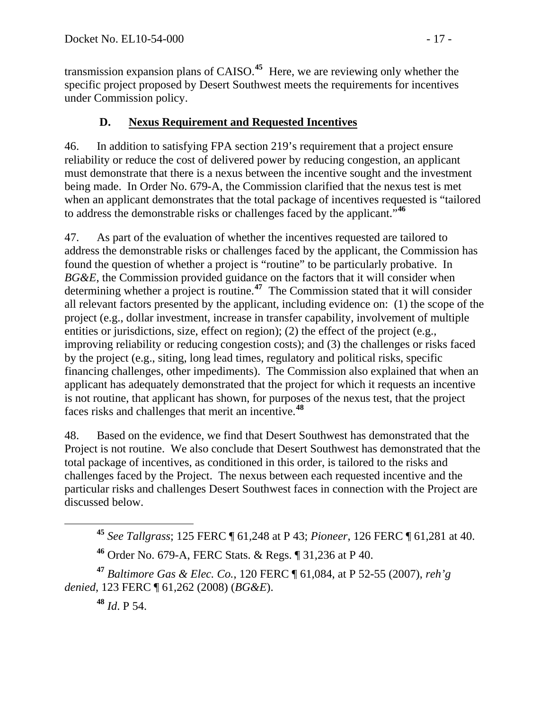transmission expansion plans of CAISO.**<sup>45</sup>** Here, we are reviewing only whether the specific project proposed by Desert Southwest meets the requirements for incentives under Commission policy.

### **D. Nexus Requirement and Requested Incentives**

46. In addition to satisfying FPA section 219's requirement that a project ensure reliability or reduce the cost of delivered power by reducing congestion, an applicant must demonstrate that there is a nexus between the incentive sought and the investment being made. In Order No. 679-A, the Commission clarified that the nexus test is met when an applicant demonstrates that the total package of incentives requested is "tailored to address the demonstrable risks or challenges faced by the applicant."**[46](#page-16-0)**

47. As part of the evaluation of whether the incentives requested are tailored to address the demonstrable risks or challenges faced by the applicant, the Commission has found the question of whether a project is "routine" to be particularly probative. In *BG&E*, the Commission provided guidance on the factors that it will consider when determining whether a project is routine.**[47](#page-16-1)** The Commission stated that it will consider all relevant factors presented by the applicant, including evidence on: (1) the scope of the project (e.g., dollar investment, increase in transfer capability, involvement of multiple entities or jurisdictions, size, effect on region); (2) the effect of the project (e.g., improving reliability or reducing congestion costs); and (3) the challenges or risks faced by the project (e.g., siting, long lead times, regulatory and political risks, specific financing challenges, other impediments). The Commission also explained that when an applicant has adequately demonstrated that the project for which it requests an incentive is not routine, that applicant has shown, for purposes of the nexus test, that the project faces risks and challenges that merit an incentive.**[48](#page-16-2)**

48. Based on the evidence, we find that Desert Southwest has demonstrated that the Project is not routine. We also conclude that Desert Southwest has demonstrated that the total package of incentives, as conditioned in this order, is tailored to the risks and challenges faced by the Project. The nexus between each requested incentive and the particular risks and challenges Desert Southwest faces in connection with the Project are discussed below.

**<sup>48</sup>** *Id*. P 54.

**<sup>45</sup>** *See Tallgrass*; 125 FERC ¶ 61,248 at P 43; *Pioneer*, 126 FERC ¶ 61,281 at 40.

**<sup>46</sup>** Order No. 679-A, FERC Stats. & Regs. ¶ 31,236 at P 40.

<span id="page-16-2"></span><span id="page-16-1"></span><span id="page-16-0"></span>**<sup>47</sup>** *Baltimore Gas & Elec. Co.*, 120 FERC ¶ 61,084, at P 52-55 (2007), *reh'g denied*, 123 FERC ¶ 61,262 (2008) (*BG&E*).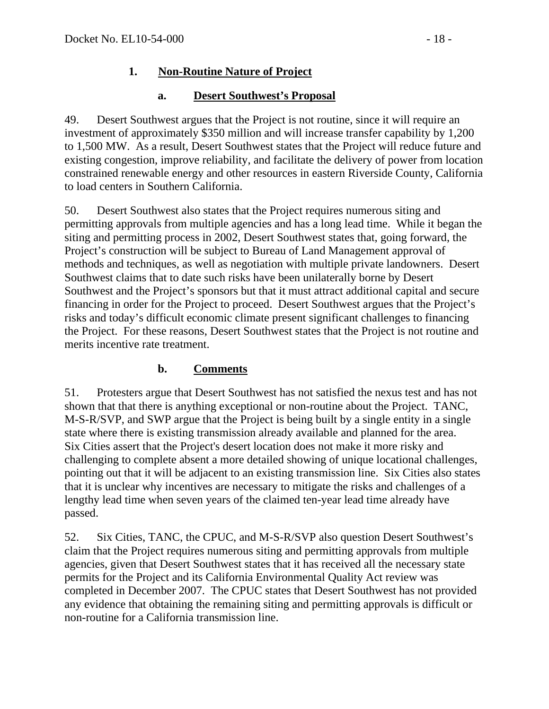## **1. Non-Routine Nature of Project**

### **a. Desert Southwest's Proposal**

49. Desert Southwest argues that the Project is not routine, since it will require an investment of approximately \$350 million and will increase transfer capability by 1,200 to 1,500 MW. As a result, Desert Southwest states that the Project will reduce future and existing congestion, improve reliability, and facilitate the delivery of power from location constrained renewable energy and other resources in eastern Riverside County, California to load centers in Southern California.

50. Desert Southwest also states that the Project requires numerous siting and permitting approvals from multiple agencies and has a long lead time. While it began the siting and permitting process in 2002, Desert Southwest states that, going forward, the Project's construction will be subject to Bureau of Land Management approval of methods and techniques, as well as negotiation with multiple private landowners. Desert Southwest claims that to date such risks have been unilaterally borne by Desert Southwest and the Project's sponsors but that it must attract additional capital and secure financing in order for the Project to proceed. Desert Southwest argues that the Project's risks and today's difficult economic climate present significant challenges to financing the Project. For these reasons, Desert Southwest states that the Project is not routine and merits incentive rate treatment.

### **b. Comments**

51. Protesters argue that Desert Southwest has not satisfied the nexus test and has not shown that that there is anything exceptional or non-routine about the Project. TANC, M-S-R/SVP, and SWP argue that the Project is being built by a single entity in a single state where there is existing transmission already available and planned for the area. Six Cities assert that the Project's desert location does not make it more risky and challenging to complete absent a more detailed showing of unique locational challenges, pointing out that it will be adjacent to an existing transmission line. Six Cities also states that it is unclear why incentives are necessary to mitigate the risks and challenges of a lengthy lead time when seven years of the claimed ten-year lead time already have passed.

52. Six Cities, TANC, the CPUC, and M-S-R/SVP also question Desert Southwest's claim that the Project requires numerous siting and permitting approvals from multiple agencies, given that Desert Southwest states that it has received all the necessary state permits for the Project and its California Environmental Quality Act review was completed in December 2007. The CPUC states that Desert Southwest has not provided any evidence that obtaining the remaining siting and permitting approvals is difficult or non-routine for a California transmission line.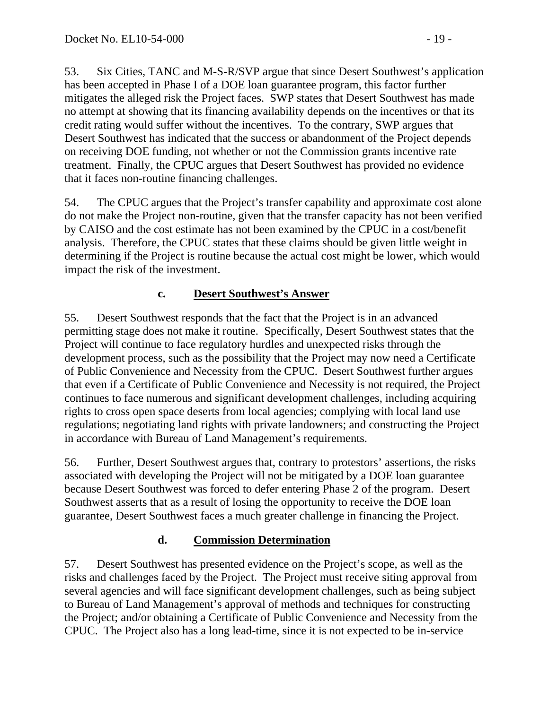53. Six Cities, TANC and M-S-R/SVP argue that since Desert Southwest's application has been accepted in Phase I of a DOE loan guarantee program, this factor further mitigates the alleged risk the Project faces. SWP states that Desert Southwest has made no attempt at showing that its financing availability depends on the incentives or that its credit rating would suffer without the incentives. To the contrary, SWP argues that Desert Southwest has indicated that the success or abandonment of the Project depends on receiving DOE funding, not whether or not the Commission grants incentive rate treatment. Finally, the CPUC argues that Desert Southwest has provided no evidence that it faces non-routine financing challenges.

54. The CPUC argues that the Project's transfer capability and approximate cost alone do not make the Project non-routine, given that the transfer capacity has not been verified by CAISO and the cost estimate has not been examined by the CPUC in a cost/benefit analysis. Therefore, the CPUC states that these claims should be given little weight in determining if the Project is routine because the actual cost might be lower, which would impact the risk of the investment.

### **c. Desert Southwest's Answer**

55. Desert Southwest responds that the fact that the Project is in an advanced permitting stage does not make it routine. Specifically, Desert Southwest states that the Project will continue to face regulatory hurdles and unexpected risks through the development process, such as the possibility that the Project may now need a Certificate of Public Convenience and Necessity from the CPUC. Desert Southwest further argues that even if a Certificate of Public Convenience and Necessity is not required, the Project continues to face numerous and significant development challenges, including acquiring rights to cross open space deserts from local agencies; complying with local land use regulations; negotiating land rights with private landowners; and constructing the Project in accordance with Bureau of Land Management's requirements.

56. Further, Desert Southwest argues that, contrary to protestors' assertions, the risks associated with developing the Project will not be mitigated by a DOE loan guarantee because Desert Southwest was forced to defer entering Phase 2 of the program. Desert Southwest asserts that as a result of losing the opportunity to receive the DOE loan guarantee, Desert Southwest faces a much greater challenge in financing the Project.

### **d. Commission Determination**

57. Desert Southwest has presented evidence on the Project's scope, as well as the risks and challenges faced by the Project. The Project must receive siting approval from several agencies and will face significant development challenges, such as being subject to Bureau of Land Management's approval of methods and techniques for constructing the Project; and/or obtaining a Certificate of Public Convenience and Necessity from the CPUC. The Project also has a long lead-time, since it is not expected to be in-service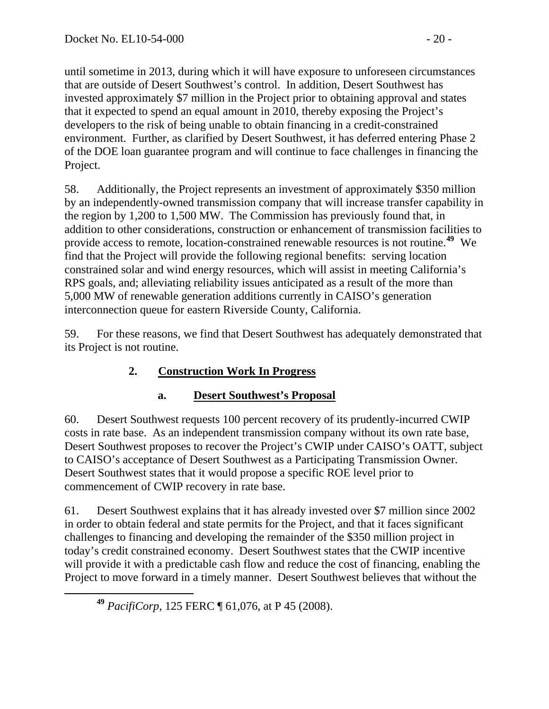until sometime in 2013, during which it will have exposure to unforeseen circumstances that are outside of Desert Southwest's control. In addition, Desert Southwest has invested approximately \$7 million in the Project prior to obtaining approval and states that it expected to spend an equal amount in 2010, thereby exposing the Project's developers to the risk of being unable to obtain financing in a credit-constrained environment. Further, as clarified by Desert Southwest, it has deferred entering Phase 2 of the DOE loan guarantee program and will continue to face challenges in financing the Project.

58. Additionally, the Project represents an investment of approximately \$350 million by an independently-owned transmission company that will increase transfer capability in the region by 1,200 to 1,500 MW. The Commission has previously found that, in addition to other considerations, construction or enhancement of transmission facilities to provide access to remote, location-constrained renewable resources is not routine.**[49](#page-19-0)** We find that the Project will provide the following regional benefits: serving location constrained solar and wind energy resources, which will assist in meeting California's RPS goals, and; alleviating reliability issues anticipated as a result of the more than 5,000 MW of renewable generation additions currently in CAISO's generation interconnection queue for eastern Riverside County, California.

59. For these reasons, we find that Desert Southwest has adequately demonstrated that its Project is not routine.

# **2. Construction Work In Progress**

## **a. Desert Southwest's Proposal**

60. Desert Southwest requests 100 percent recovery of its prudently-incurred CWIP costs in rate base. As an independent transmission company without its own rate base, Desert Southwest proposes to recover the Project's CWIP under CAISO's OATT, subject to CAISO's acceptance of Desert Southwest as a Participating Transmission Owner. Desert Southwest states that it would propose a specific ROE level prior to commencement of CWIP recovery in rate base.

61. Desert Southwest explains that it has already invested over \$7 million since 2002 in order to obtain federal and state permits for the Project, and that it faces significant challenges to financing and developing the remainder of the \$350 million project in today's credit constrained economy. Desert Southwest states that the CWIP incentive will provide it with a predictable cash flow and reduce the cost of financing, enabling the Project to move forward in a timely manner. Desert Southwest believes that without the

<span id="page-19-0"></span>**<sup>49</sup>** *PacifiCorp*, 125 FERC ¶ 61,076, at P 45 (2008).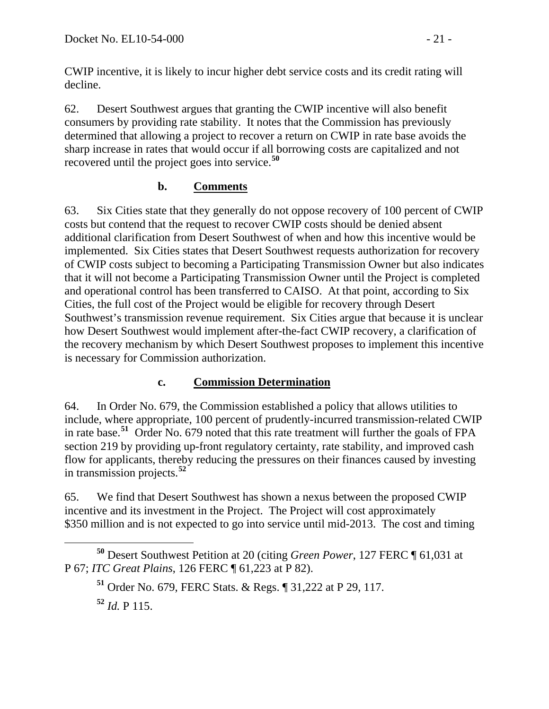CWIP incentive, it is likely to incur higher debt service costs and its credit rating will decline.

62. Desert Southwest argues that granting the CWIP incentive will also benefit consumers by providing rate stability. It notes that the Commission has previously determined that allowing a project to recover a return on CWIP in rate base avoids the sharp increase in rates that would occur if all borrowing costs are capitalized and not recovered until the project goes into service.**[50](#page-20-0)**

### **b. Comments**

63. Six Cities state that they generally do not oppose recovery of 100 percent of CWIP costs but contend that the request to recover CWIP costs should be denied absent additional clarification from Desert Southwest of when and how this incentive would be implemented. Six Cities states that Desert Southwest requests authorization for recovery of CWIP costs subject to becoming a Participating Transmission Owner but also indicates that it will not become a Participating Transmission Owner until the Project is completed and operational control has been transferred to CAISO. At that point, according to Six Cities, the full cost of the Project would be eligible for recovery through Desert Southwest's transmission revenue requirement. Six Cities argue that because it is unclear how Desert Southwest would implement after-the-fact CWIP recovery, a clarification of the recovery mechanism by which Desert Southwest proposes to implement this incentive is necessary for Commission authorization.

### **c. Commission Determination**

64. In Order No. 679, the Commission established a policy that allows utilities to include, where appropriate, 100 percent of prudently-incurred transmission-related CWIP in rate base.**[51](#page-20-1)** Order No. 679 noted that this rate treatment will further the goals of FPA section 219 by providing up-front regulatory certainty, rate stability, and improved cash flow for applicants, thereby reducing the pressures on their finances caused by investing in transmission projects.**[52](#page-20-2)**

65. We find that Desert Southwest has shown a nexus between the proposed CWIP incentive and its investment in the Project. The Project will cost approximately \$350 million and is not expected to go into service until mid-2013. The cost and timing

**<sup>52</sup>** *Id.* P 115.

<span id="page-20-2"></span><span id="page-20-1"></span><span id="page-20-0"></span>**<sup>50</sup>** Desert Southwest Petition at 20 (citing *Green Power*, 127 FERC ¶ 61,031 at P 67; *ITC Great Plains*, 126 FERC ¶ 61,223 at P 82).

**<sup>51</sup>** Order No. 679, FERC Stats. & Regs. ¶ 31,222 at P 29, 117.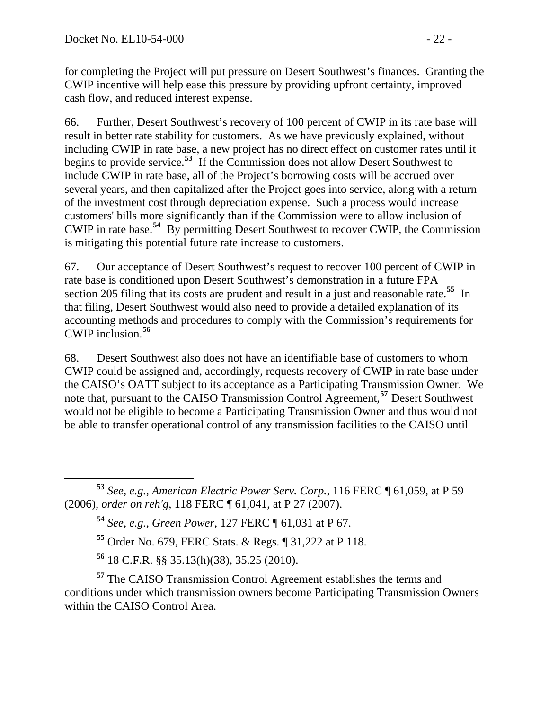for completing the Project will put pressure on Desert Southwest's finances. Granting the CWIP incentive will help ease this pressure by providing upfront certainty, improved cash flow, and reduced interest expense.

66. Further, Desert Southwest's recovery of 100 percent of CWIP in its rate base will result in better rate stability for customers. As we have previously explained, without including CWIP in rate base, a new project has no direct effect on customer rates until it begins to provide service.**[53](#page-21-0)** If the Commission does not allow Desert Southwest to include CWIP in rate base, all of the Project's borrowing costs will be accrued over several years, and then capitalized after the Project goes into service, along with a return of the investment cost through depreciation expense. Such a process would increase customers' bills more significantly than if the Commission were to allow inclusion of CWIP in rate base.**[54](#page-21-1)** By permitting Desert Southwest to recover CWIP, the Commission is mitigating this potential future rate increase to customers.

67. Our acceptance of Desert Southwest's request to recover 100 percent of CWIP in rate base is conditioned upon Desert Southwest's demonstration in a future FPA section 205 filing that its costs are prudent and result in a just and reasonable rate.<sup>[55](#page-21-2)</sup> In that filing, Desert Southwest would also need to provide a detailed explanation of its accounting methods and procedures to comply with the Commission's requirements for CWIP inclusion.**[56](#page-21-3)**

68. Desert Southwest also does not have an identifiable base of customers to whom CWIP could be assigned and, accordingly, requests recovery of CWIP in rate base under the CAISO's OATT subject to its acceptance as a Participating Transmission Owner. We note that, pursuant to the CAISO Transmission Control Agreement,**[57](#page-21-4)** Desert Southwest would not be eligible to become a Participating Transmission Owner and thus would not be able to transfer operational control of any transmission facilities to the CAISO until

**<sup>54</sup>** *See, e.g.*, *Green Power*, 127 FERC ¶ 61,031 at P 67.

**<sup>55</sup>** Order No. 679, FERC Stats. & Regs. ¶ 31,222 at P 118.

**<sup>56</sup>** 18 C.F.R. §§ 35.13(h)(38), 35.25 (2010).

<span id="page-21-4"></span><span id="page-21-3"></span><span id="page-21-2"></span>**<sup>57</sup>** The CAISO Transmission Control Agreement establishes the terms and conditions under which transmission owners become Participating Transmission Owners within the CAISO Control Area.

<span id="page-21-1"></span><span id="page-21-0"></span>**<sup>53</sup>** *See, e.g.*, *American Electric Power Serv. Corp.*, 116 FERC ¶ 61,059, at P 59 (2006), *order on reh'g*, 118 FERC ¶ 61,041, at P 27 (2007).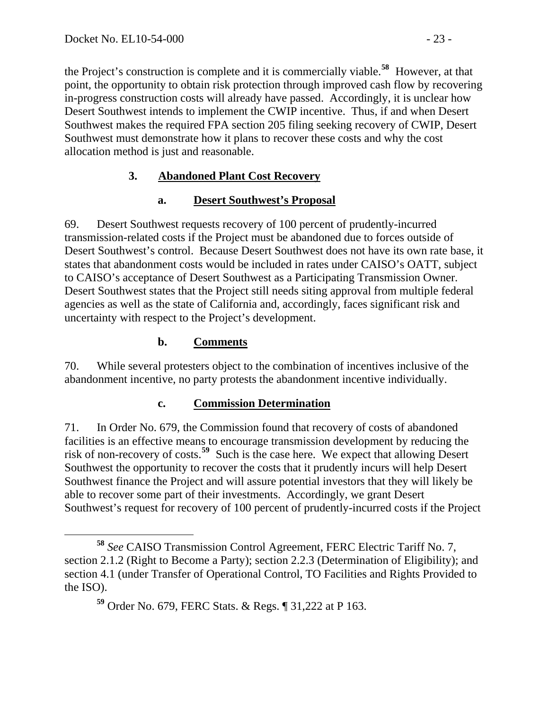the Project's construction is complete and it is commercially viable.**[58](#page-22-0)** However, at that point, the opportunity to obtain risk protection through improved cash flow by recovering in-progress construction costs will already have passed. Accordingly, it is unclear how Desert Southwest intends to implement the CWIP incentive. Thus, if and when Desert Southwest makes the required FPA section 205 filing seeking recovery of CWIP, Desert Southwest must demonstrate how it plans to recover these costs and why the cost allocation method is just and reasonable.

## **3. Abandoned Plant Cost Recovery**

### **a. Desert Southwest's Proposal**

69. Desert Southwest requests recovery of 100 percent of prudently-incurred transmission-related costs if the Project must be abandoned due to forces outside of Desert Southwest's control. Because Desert Southwest does not have its own rate base, it states that abandonment costs would be included in rates under CAISO's OATT, subject to CAISO's acceptance of Desert Southwest as a Participating Transmission Owner. Desert Southwest states that the Project still needs siting approval from multiple federal agencies as well as the state of California and, accordingly, faces significant risk and uncertainty with respect to the Project's development.

### **b. Comments**

70. While several protesters object to the combination of incentives inclusive of the abandonment incentive, no party protests the abandonment incentive individually.

### **c. Commission Determination**

71. In Order No. 679, the Commission found that recovery of costs of abandoned facilities is an effective means to encourage transmission development by reducing the risk of non-recovery of costs.**[59](#page-22-1)** Such is the case here. We expect that allowing Desert Southwest the opportunity to recover the costs that it prudently incurs will help Desert Southwest finance the Project and will assure potential investors that they will likely be able to recover some part of their investments. Accordingly, we grant Desert Southwest's request for recovery of 100 percent of prudently-incurred costs if the Project

<span id="page-22-1"></span><span id="page-22-0"></span>**<sup>58</sup>** *See* CAISO Transmission Control Agreement, FERC Electric Tariff No. 7, section 2.1.2 (Right to Become a Party); section 2.2.3 (Determination of Eligibility); and section 4.1 (under Transfer of Operational Control, TO Facilities and Rights Provided to the ISO).

**<sup>59</sup>** Order No. 679, FERC Stats. & Regs. ¶ 31,222 at P 163.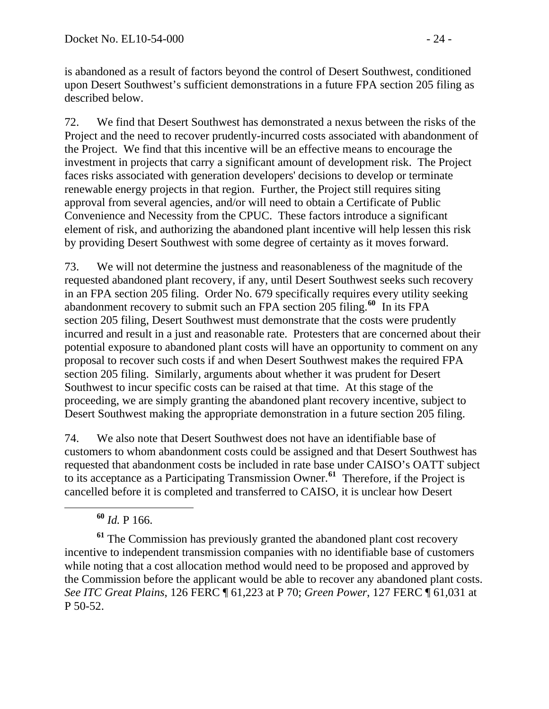is abandoned as a result of factors beyond the control of Desert Southwest, conditioned upon Desert Southwest's sufficient demonstrations in a future FPA section 205 filing as described below.

72. We find that Desert Southwest has demonstrated a nexus between the risks of the Project and the need to recover prudently-incurred costs associated with abandonment of the Project. We find that this incentive will be an effective means to encourage the investment in projects that carry a significant amount of development risk. The Project faces risks associated with generation developers' decisions to develop or terminate renewable energy projects in that region. Further, the Project still requires siting approval from several agencies, and/or will need to obtain a Certificate of Public Convenience and Necessity from the CPUC. These factors introduce a significant element of risk, and authorizing the abandoned plant incentive will help lessen this risk by providing Desert Southwest with some degree of certainty as it moves forward.

73. We will not determine the justness and reasonableness of the magnitude of the requested abandoned plant recovery, if any, until Desert Southwest seeks such recovery in an FPA section 205 filing. Order No. 679 specifically requires every utility seeking abandonment recovery to submit such an FPA section 205 filing.**[60](#page-23-0)** In its FPA section 205 filing, Desert Southwest must demonstrate that the costs were prudently incurred and result in a just and reasonable rate. Protesters that are concerned about their potential exposure to abandoned plant costs will have an opportunity to comment on any proposal to recover such costs if and when Desert Southwest makes the required FPA section 205 filing. Similarly, arguments about whether it was prudent for Desert Southwest to incur specific costs can be raised at that time. At this stage of the proceeding, we are simply granting the abandoned plant recovery incentive, subject to Desert Southwest making the appropriate demonstration in a future section 205 filing.

74. We also note that Desert Southwest does not have an identifiable base of customers to whom abandonment costs could be assigned and that Desert Southwest has requested that abandonment costs be included in rate base under CAISO's OATT subject to its acceptance as a Participating Transmission Owner.**[61](#page-23-1)** Therefore, if the Project is cancelled before it is completed and transferred to CAISO, it is unclear how Desert

<span id="page-23-1"></span><span id="page-23-0"></span>**<sup>61</sup>** The Commission has previously granted the abandoned plant cost recovery incentive to independent transmission companies with no identifiable base of customers while noting that a cost allocation method would need to be proposed and approved by the Commission before the applicant would be able to recover any abandoned plant costs. *See ITC Great Plains*, 126 FERC ¶ 61,223 at P 70; *Green Power*, 127 FERC ¶ 61,031 at P 50-52.

**<sup>60</sup>** *Id.* P 166.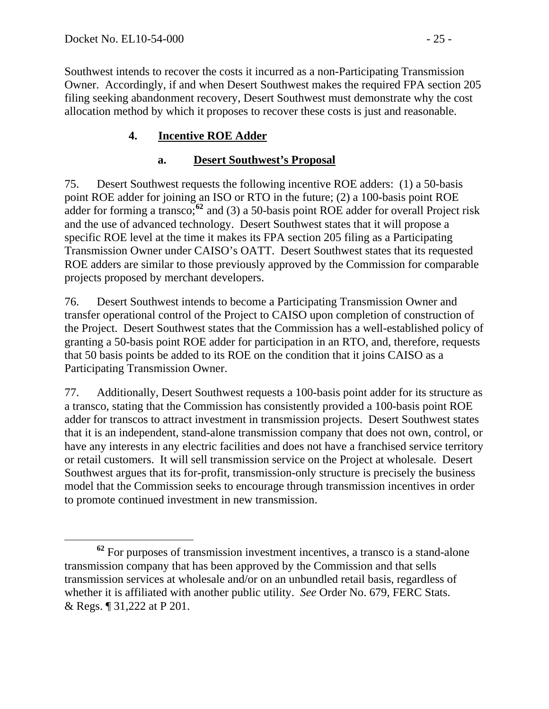Southwest intends to recover the costs it incurred as a non-Participating Transmission Owner. Accordingly, if and when Desert Southwest makes the required FPA section 205 filing seeking abandonment recovery, Desert Southwest must demonstrate why the cost allocation method by which it proposes to recover these costs is just and reasonable.

### **4. Incentive ROE Adder**

#### **a. Desert Southwest's Proposal**

75. Desert Southwest requests the following incentive ROE adders: (1) a 50-basis point ROE adder for joining an ISO or RTO in the future; (2) a 100-basis point ROE adder for forming a transco;**[62](#page-24-0)** and (3) a 50-basis point ROE adder for overall Project risk and the use of advanced technology. Desert Southwest states that it will propose a specific ROE level at the time it makes its FPA section 205 filing as a Participating Transmission Owner under CAISO's OATT. Desert Southwest states that its requested ROE adders are similar to those previously approved by the Commission for comparable projects proposed by merchant developers.

76. Desert Southwest intends to become a Participating Transmission Owner and transfer operational control of the Project to CAISO upon completion of construction of the Project. Desert Southwest states that the Commission has a well-established policy of granting a 50-basis point ROE adder for participation in an RTO, and, therefore, requests that 50 basis points be added to its ROE on the condition that it joins CAISO as a Participating Transmission Owner.

77. Additionally, Desert Southwest requests a 100-basis point adder for its structure as a transco, stating that the Commission has consistently provided a 100-basis point ROE adder for transcos to attract investment in transmission projects. Desert Southwest states that it is an independent, stand-alone transmission company that does not own, control, or have any interests in any electric facilities and does not have a franchised service territory or retail customers. It will sell transmission service on the Project at wholesale. Desert Southwest argues that its for-profit, transmission-only structure is precisely the business model that the Commission seeks to encourage through transmission incentives in order to promote continued investment in new transmission.

<span id="page-24-0"></span>**<sup>62</sup>** For purposes of transmission investment incentives, a transco is a stand-alone transmission company that has been approved by the Commission and that sells transmission services at wholesale and/or on an unbundled retail basis, regardless of whether it is affiliated with another public utility. *See* Order No. 679, FERC Stats. & Regs. ¶ 31,222 at P 201.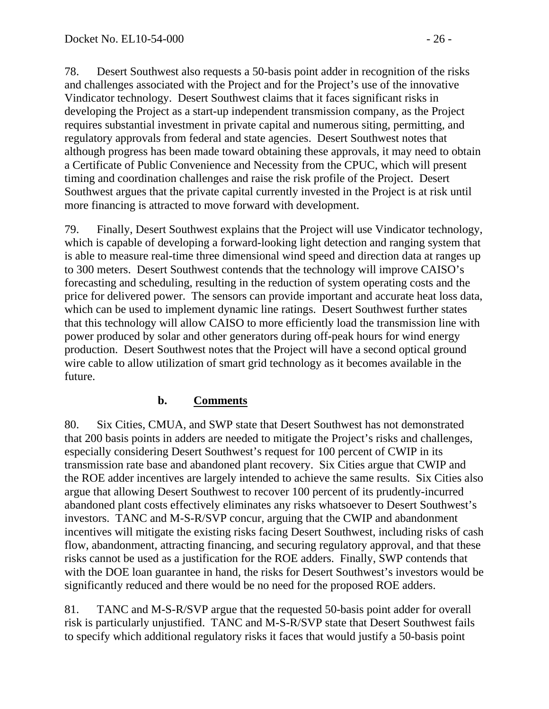78. Desert Southwest also requests a 50-basis point adder in recognition of the risks and challenges associated with the Project and for the Project's use of the innovative Vindicator technology. Desert Southwest claims that it faces significant risks in developing the Project as a start-up independent transmission company, as the Project requires substantial investment in private capital and numerous siting, permitting, and regulatory approvals from federal and state agencies. Desert Southwest notes that although progress has been made toward obtaining these approvals, it may need to obtain a Certificate of Public Convenience and Necessity from the CPUC, which will present timing and coordination challenges and raise the risk profile of the Project. Desert Southwest argues that the private capital currently invested in the Project is at risk until more financing is attracted to move forward with development.

79. Finally, Desert Southwest explains that the Project will use Vindicator technology, which is capable of developing a forward-looking light detection and ranging system that is able to measure real-time three dimensional wind speed and direction data at ranges up to 300 meters. Desert Southwest contends that the technology will improve CAISO's forecasting and scheduling, resulting in the reduction of system operating costs and the price for delivered power. The sensors can provide important and accurate heat loss data, which can be used to implement dynamic line ratings. Desert Southwest further states that this technology will allow CAISO to more efficiently load the transmission line with power produced by solar and other generators during off-peak hours for wind energy production. Desert Southwest notes that the Project will have a second optical ground wire cable to allow utilization of smart grid technology as it becomes available in the future.

### **b. Comments**

80. Six Cities, CMUA, and SWP state that Desert Southwest has not demonstrated that 200 basis points in adders are needed to mitigate the Project's risks and challenges, especially considering Desert Southwest's request for 100 percent of CWIP in its transmission rate base and abandoned plant recovery. Six Cities argue that CWIP and the ROE adder incentives are largely intended to achieve the same results. Six Cities also argue that allowing Desert Southwest to recover 100 percent of its prudently-incurred abandoned plant costs effectively eliminates any risks whatsoever to Desert Southwest's investors. TANC and M-S-R/SVP concur, arguing that the CWIP and abandonment incentives will mitigate the existing risks facing Desert Southwest, including risks of cash flow, abandonment, attracting financing, and securing regulatory approval, and that these risks cannot be used as a justification for the ROE adders. Finally, SWP contends that with the DOE loan guarantee in hand, the risks for Desert Southwest's investors would be significantly reduced and there would be no need for the proposed ROE adders.

81. TANC and M-S-R/SVP argue that the requested 50-basis point adder for overall risk is particularly unjustified. TANC and M-S-R/SVP state that Desert Southwest fails to specify which additional regulatory risks it faces that would justify a 50-basis point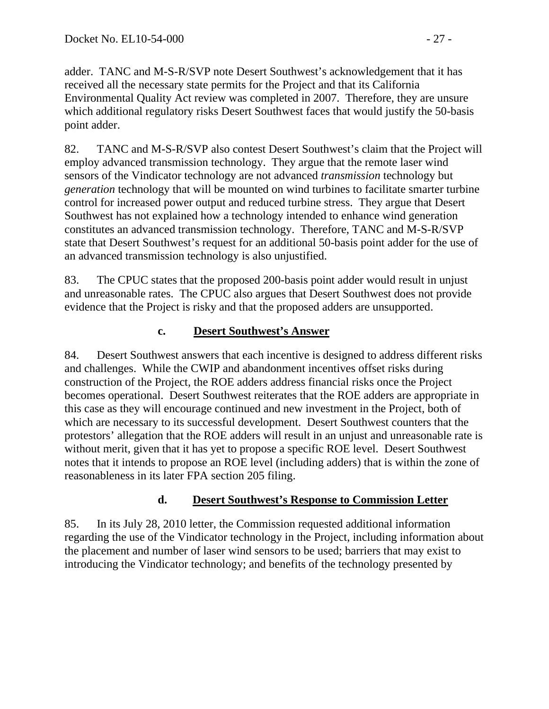adder. TANC and M-S-R/SVP note Desert Southwest's acknowledgement that it has received all the necessary state permits for the Project and that its California Environmental Quality Act review was completed in 2007. Therefore, they are unsure which additional regulatory risks Desert Southwest faces that would justify the 50-basis point adder.

82. TANC and M-S-R/SVP also contest Desert Southwest's claim that the Project will employ advanced transmission technology. They argue that the remote laser wind sensors of the Vindicator technology are not advanced *transmission* technology but *generation* technology that will be mounted on wind turbines to facilitate smarter turbine control for increased power output and reduced turbine stress. They argue that Desert Southwest has not explained how a technology intended to enhance wind generation constitutes an advanced transmission technology. Therefore, TANC and M-S-R/SVP state that Desert Southwest's request for an additional 50-basis point adder for the use of an advanced transmission technology is also unjustified.

83. The CPUC states that the proposed 200-basis point adder would result in unjust and unreasonable rates. The CPUC also argues that Desert Southwest does not provide evidence that the Project is risky and that the proposed adders are unsupported.

### **c. Desert Southwest's Answer**

84. Desert Southwest answers that each incentive is designed to address different risks and challenges. While the CWIP and abandonment incentives offset risks during construction of the Project, the ROE adders address financial risks once the Project becomes operational. Desert Southwest reiterates that the ROE adders are appropriate in this case as they will encourage continued and new investment in the Project, both of which are necessary to its successful development. Desert Southwest counters that the protestors' allegation that the ROE adders will result in an unjust and unreasonable rate is without merit, given that it has yet to propose a specific ROE level. Desert Southwest notes that it intends to propose an ROE level (including adders) that is within the zone of reasonableness in its later FPA section 205 filing.

### **d. Desert Southwest's Response to Commission Letter**

85. In its July 28, 2010 letter, the Commission requested additional information regarding the use of the Vindicator technology in the Project, including information about the placement and number of laser wind sensors to be used; barriers that may exist to introducing the Vindicator technology; and benefits of the technology presented by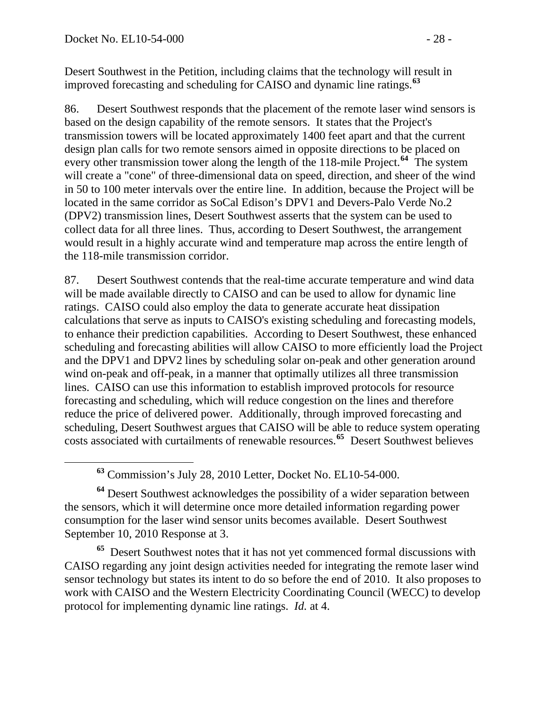Desert Southwest in the Petition, including claims that the technology will result in improved forecasting and scheduling for CAISO and dynamic line ratings.**<sup>63</sup>**

86. Desert Southwest responds that the placement of the remote laser wind sensors is based on the design capability of the remote sensors. It states that the Project's transmission towers will be located approximately 1400 feet apart and that the current design plan calls for two remote sensors aimed in opposite directions to be placed on every other transmission tower along the length of the 118-mile Project.**[64](#page-27-0)** The system will create a "cone" of three-dimensional data on speed, direction, and sheer of the wind in 50 to 100 meter intervals over the entire line. In addition, because the Project will be located in the same corridor as SoCal Edison's DPV1 and Devers-Palo Verde No.2 (DPV2) transmission lines, Desert Southwest asserts that the system can be used to collect data for all three lines. Thus, according to Desert Southwest, the arrangement would result in a highly accurate wind and temperature map across the entire length of the 118-mile transmission corridor.

87. Desert Southwest contends that the real-time accurate temperature and wind data will be made available directly to CAISO and can be used to allow for dynamic line ratings. CAISO could also employ the data to generate accurate heat dissipation calculations that serve as inputs to CAISO's existing scheduling and forecasting models, to enhance their prediction capabilities. According to Desert Southwest, these enhanced scheduling and forecasting abilities will allow CAISO to more efficiently load the Project and the DPV1 and DPV2 lines by scheduling solar on-peak and other generation around wind on-peak and off-peak, in a manner that optimally utilizes all three transmission lines. CAISO can use this information to establish improved protocols for resource forecasting and scheduling, which will reduce congestion on the lines and therefore reduce the price of delivered power. Additionally, through improved forecasting and scheduling, Desert Southwest argues that CAISO will be able to reduce system operating costs associated with curtailments of renewable resources.**[65](#page-27-1)** Desert Southwest believes

**<sup>63</sup>** Commission's July 28, 2010 Letter, Docket No. EL10-54-000.

<span id="page-27-0"></span>**<sup>64</sup>** Desert Southwest acknowledges the possibility of a wider separation between the sensors, which it will determine once more detailed information regarding power consumption for the laser wind sensor units becomes available. Desert Southwest September 10, 2010 Response at 3.

<span id="page-27-1"></span>**<sup>65</sup>** Desert Southwest notes that it has not yet commenced formal discussions with CAISO regarding any joint design activities needed for integrating the remote laser wind sensor technology but states its intent to do so before the end of 2010. It also proposes to work with CAISO and the Western Electricity Coordinating Council (WECC) to develop protocol for implementing dynamic line ratings. *Id.* at 4.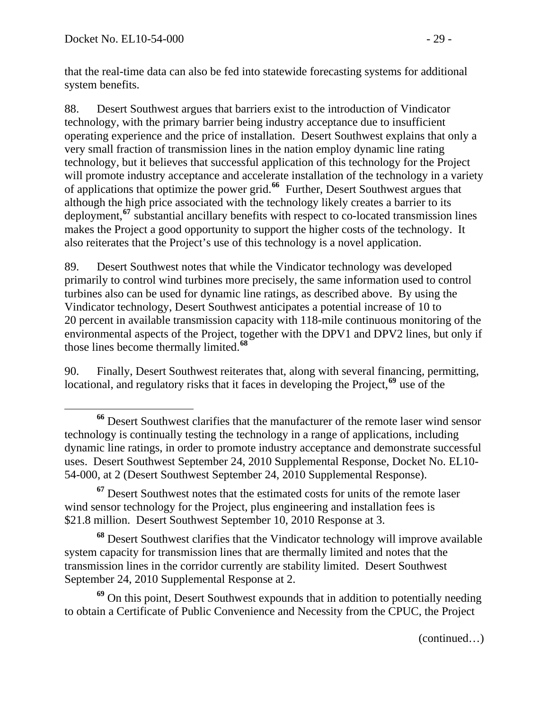that the real-time data can also be fed into statewide forecasting systems for additional system benefits.

88. Desert Southwest argues that barriers exist to the introduction of Vindicator technology, with the primary barrier being industry acceptance due to insufficient operating experience and the price of installation. Desert Southwest explains that only a very small fraction of transmission lines in the nation employ dynamic line rating technology, but it believes that successful application of this technology for the Project will promote industry acceptance and accelerate installation of the technology in a variety of applications that optimize the power grid.**[66](#page-28-0)** Further, Desert Southwest argues that although the high price associated with the technology likely creates a barrier to its deployment,**[67](#page-28-1)** substantial ancillary benefits with respect to co-located transmission lines makes the Project a good opportunity to support the higher costs of the technology. It also reiterates that the Project's use of this technology is a novel application.

89. Desert Southwest notes that while the Vindicator technology was developed primarily to control wind turbines more precisely, the same information used to control turbines also can be used for dynamic line ratings, as described above. By using the Vindicator technology, Desert Southwest anticipates a potential increase of 10 to 20 percent in available transmission capacity with 118-mile continuous monitoring of the environmental aspects of the Project, together with the DPV1 and DPV2 lines, but only if those lines become thermally limited.**[68](#page-28-2)**

90. Finally, Desert Southwest reiterates that, along with several financing, permitting, locational, and regulatory risks that it faces in developing the Project,**[69](#page-28-3)** use of the

<span id="page-28-2"></span>**<sup>68</sup>** Desert Southwest clarifies that the Vindicator technology will improve available system capacity for transmission lines that are thermally limited and notes that the transmission lines in the corridor currently are stability limited. Desert Southwest September 24, 2010 Supplemental Response at 2.

<span id="page-28-3"></span>**<sup>69</sup>** On this point, Desert Southwest expounds that in addition to potentially needing to obtain a Certificate of Public Convenience and Necessity from the CPUC, the Project

(continued…)

<span id="page-28-0"></span>**<sup>66</sup>** Desert Southwest clarifies that the manufacturer of the remote laser wind sensor technology is continually testing the technology in a range of applications, including dynamic line ratings, in order to promote industry acceptance and demonstrate successful uses. Desert Southwest September 24, 2010 Supplemental Response, Docket No. EL10- 54-000, at 2 (Desert Southwest September 24, 2010 Supplemental Response).

<span id="page-28-1"></span>**<sup>67</sup>** Desert Southwest notes that the estimated costs for units of the remote laser wind sensor technology for the Project, plus engineering and installation fees is \$21.8 million. Desert Southwest September 10, 2010 Response at 3.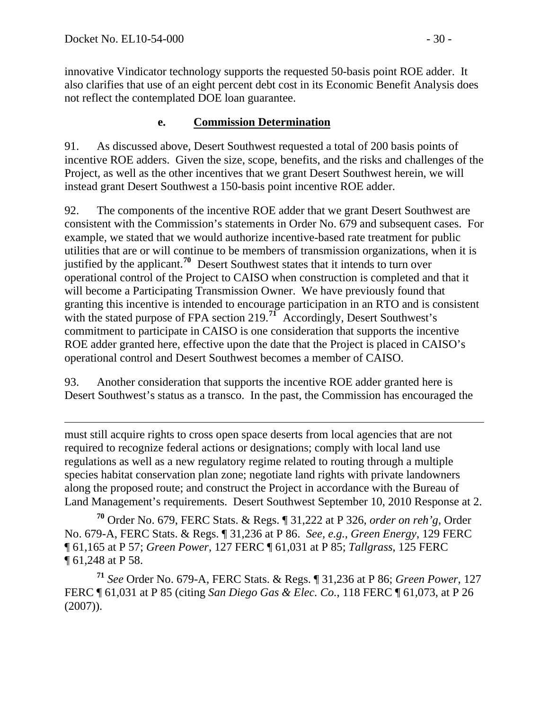innovative Vindicator technology supports the requested 50-basis point ROE adder. It also clarifies that use of an eight percent debt cost in its Economic Benefit Analysis does not reflect the contemplated DOE loan guarantee.

#### **e. Commission Determination**

91. As discussed above, Desert Southwest requested a total of 200 basis points of incentive ROE adders. Given the size, scope, benefits, and the risks and challenges of the Project, as well as the other incentives that we grant Desert Southwest herein, we will instead grant Desert Southwest a 150-basis point incentive ROE adder.

92. The components of the incentive ROE adder that we grant Desert Southwest are consistent with the Commission's statements in Order No. 679 and subsequent cases. For example, we stated that we would authorize incentive-based rate treatment for public utilities that are or will continue to be members of transmission organizations, when it is justified by the applicant.**[70](#page-29-0)** Desert Southwest states that it intends to turn over operational control of the Project to CAISO when construction is completed and that it will become a Participating Transmission Owner. We have previously found that granting this incentive is intended to encourage participation in an RTO and is consistent with the stated purpose of FPA section 219.<sup>[71](#page-29-1)</sup> Accordingly, Desert Southwest's commitment to participate in CAISO is one consideration that supports the incentive ROE adder granted here, effective upon the date that the Project is placed in CAISO's operational control and Desert Southwest becomes a member of CAISO.

93. Another consideration that supports the incentive ROE adder granted here is Desert Southwest's status as a transco. In the past, the Commission has encouraged the

 $\overline{a}$ must still acquire rights to cross open space deserts from local agencies that are not required to recognize federal actions or designations; comply with local land use regulations as well as a new regulatory regime related to routing through a multiple species habitat conservation plan zone; negotiate land rights with private landowners along the proposed route; and construct the Project in accordance with the Bureau of Land Management's requirements. Desert Southwest September 10, 2010 Response at 2.

<span id="page-29-0"></span>**<sup>70</sup>** Order No. 679, FERC Stats. & Regs. ¶ 31,222 at P 326, *order on reh'g*, Order No. 679-A, FERC Stats. & Regs. ¶ 31,236 at P 86. *See, e.g.*, *Green Energy*, 129 FERC ¶ 61,165 at P 57; *Green Power*, 127 FERC ¶ 61,031 at P 85; *Tallgrass*, 125 FERC ¶ 61,248 at P 58.

<span id="page-29-1"></span>**<sup>71</sup>** *See* Order No. 679-A, FERC Stats. & Regs. ¶ 31,236 at P 86; *Green Power*, 127 FERC ¶ 61,031 at P 85 (citing *San Diego Gas & Elec. Co.*, 118 FERC ¶ 61,073, at P 26 (2007)).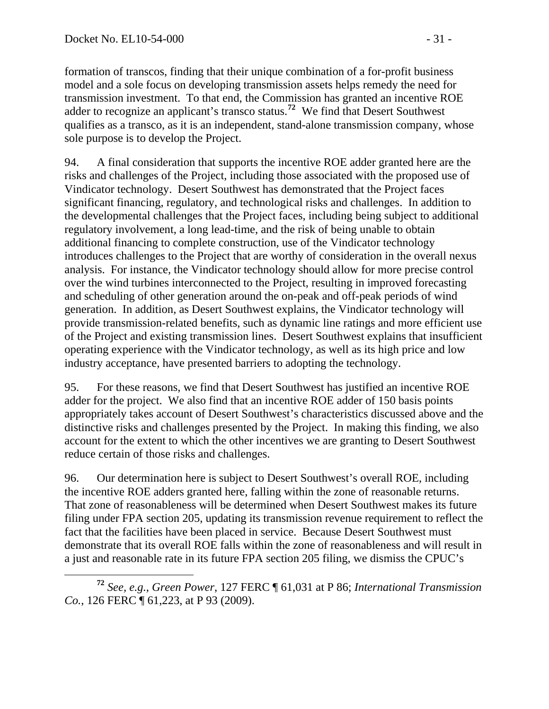formation of transcos, finding that their unique combination of a for-profit business model and a sole focus on developing transmission assets helps remedy the need for transmission investment. To that end, the Commission has granted an incentive ROE adder to recognize an applicant's transco status.**<sup>72</sup>** We find that Desert Southwest qualifies as a transco, as it is an independent, stand-alone transmission company, whose sole purpose is to develop the Project.

94. A final consideration that supports the incentive ROE adder granted here are the risks and challenges of the Project, including those associated with the proposed use of Vindicator technology. Desert Southwest has demonstrated that the Project faces significant financing, regulatory, and technological risks and challenges. In addition to the developmental challenges that the Project faces, including being subject to additional regulatory involvement, a long lead-time, and the risk of being unable to obtain additional financing to complete construction, use of the Vindicator technology introduces challenges to the Project that are worthy of consideration in the overall nexus analysis. For instance, the Vindicator technology should allow for more precise control over the wind turbines interconnected to the Project, resulting in improved forecasting and scheduling of other generation around the on-peak and off-peak periods of wind generation. In addition, as Desert Southwest explains, the Vindicator technology will provide transmission-related benefits, such as dynamic line ratings and more efficient use of the Project and existing transmission lines. Desert Southwest explains that insufficient operating experience with the Vindicator technology, as well as its high price and low industry acceptance, have presented barriers to adopting the technology.

95. For these reasons, we find that Desert Southwest has justified an incentive ROE adder for the project. We also find that an incentive ROE adder of 150 basis points appropriately takes account of Desert Southwest's characteristics discussed above and the distinctive risks and challenges presented by the Project. In making this finding, we also account for the extent to which the other incentives we are granting to Desert Southwest reduce certain of those risks and challenges.

96. Our determination here is subject to Desert Southwest's overall ROE, including the incentive ROE adders granted here, falling within the zone of reasonable returns. That zone of reasonableness will be determined when Desert Southwest makes its future filing under FPA section 205, updating its transmission revenue requirement to reflect the fact that the facilities have been placed in service. Because Desert Southwest must demonstrate that its overall ROE falls within the zone of reasonableness and will result in a just and reasonable rate in its future FPA section 205 filing, we dismiss the CPUC's

**<sup>72</sup>** *See, e.g.*, *Green Power*, 127 FERC ¶ 61,031 at P 86; *International Transmission Co.*, 126 FERC ¶ 61, 223, at P 93 (2009).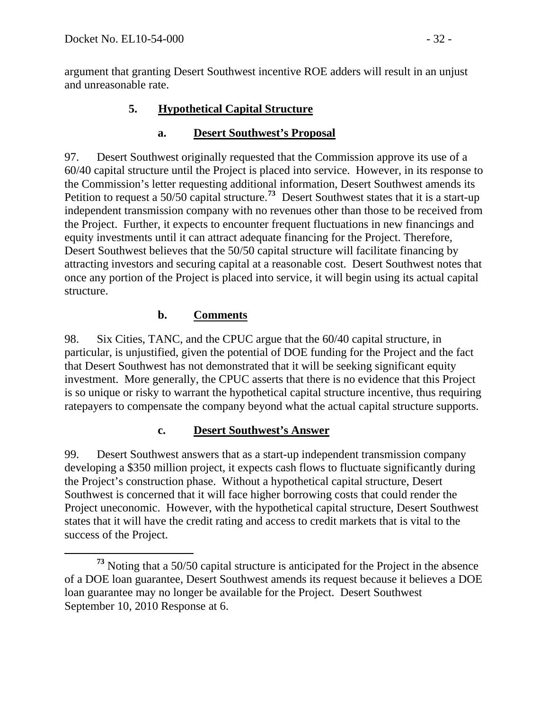argument that granting Desert Southwest incentive ROE adders will result in an unjust and unreasonable rate.

### **5. Hypothetical Capital Structure**

#### **a. Desert Southwest's Proposal**

97. Desert Southwest originally requested that the Commission approve its use of a 60/40 capital structure until the Project is placed into service. However, in its response to the Commission's letter requesting additional information, Desert Southwest amends its Petition to request a 50/50 capital structure.**[73](#page-31-0)** Desert Southwest states that it is a start-up independent transmission company with no revenues other than those to be received from the Project. Further, it expects to encounter frequent fluctuations in new financings and equity investments until it can attract adequate financing for the Project. Therefore, Desert Southwest believes that the 50/50 capital structure will facilitate financing by attracting investors and securing capital at a reasonable cost. Desert Southwest notes that once any portion of the Project is placed into service, it will begin using its actual capital structure.

### **b. Comments**

98. Six Cities, TANC, and the CPUC argue that the 60/40 capital structure, in particular, is unjustified, given the potential of DOE funding for the Project and the fact that Desert Southwest has not demonstrated that it will be seeking significant equity investment. More generally, the CPUC asserts that there is no evidence that this Project is so unique or risky to warrant the hypothetical capital structure incentive, thus requiring ratepayers to compensate the company beyond what the actual capital structure supports.

### **c. Desert Southwest's Answer**

99. Desert Southwest answers that as a start-up independent transmission company developing a \$350 million project, it expects cash flows to fluctuate significantly during the Project's construction phase. Without a hypothetical capital structure, Desert Southwest is concerned that it will face higher borrowing costs that could render the Project uneconomic. However, with the hypothetical capital structure, Desert Southwest states that it will have the credit rating and access to credit markets that is vital to the success of the Project.

<span id="page-31-0"></span>**<sup>73</sup>** Noting that a 50/50 capital structure is anticipated for the Project in the absence of a DOE loan guarantee, Desert Southwest amends its request because it believes a DOE loan guarantee may no longer be available for the Project. Desert Southwest September 10, 2010 Response at 6.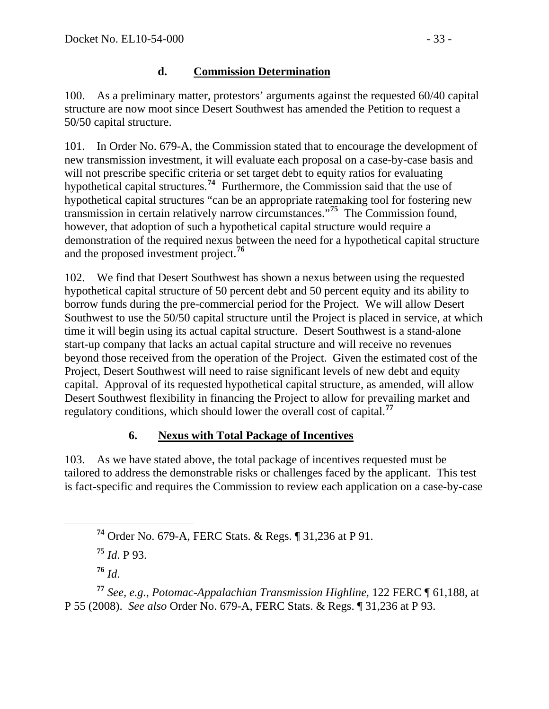#### **d. Commission Determination**

100. As a preliminary matter, protestors' arguments against the requested 60/40 capital structure are now moot since Desert Southwest has amended the Petition to request a 50/50 capital structure.

101. In Order No. 679-A, the Commission stated that to encourage the development of new transmission investment, it will evaluate each proposal on a case-by-case basis and will not prescribe specific criteria or set target debt to equity ratios for evaluating hypothetical capital structures.**[74](#page-32-0)** Furthermore, the Commission said that the use of hypothetical capital structures "can be an appropriate ratemaking tool for fostering new transmission in certain relatively narrow circumstances."**[75](#page-32-1)** The Commission found, however, that adoption of such a hypothetical capital structure would require a demonstration of the required nexus between the need for a hypothetical capital structure and the proposed investment project.**[76](#page-32-2)**

102. We find that Desert Southwest has shown a nexus between using the requested hypothetical capital structure of 50 percent debt and 50 percent equity and its ability to borrow funds during the pre-commercial period for the Project. We will allow Desert Southwest to use the 50/50 capital structure until the Project is placed in service, at which time it will begin using its actual capital structure. Desert Southwest is a stand-alone start-up company that lacks an actual capital structure and will receive no revenues beyond those received from the operation of the Project. Given the estimated cost of the Project, Desert Southwest will need to raise significant levels of new debt and equity capital. Approval of its requested hypothetical capital structure, as amended, will allow Desert Southwest flexibility in financing the Project to allow for prevailing market and regulatory conditions, which should lower the overall cost of capital.**[77](#page-32-3)**

### **6. Nexus with Total Package of Incentives**

103. As we have stated above, the total package of incentives requested must be tailored to address the demonstrable risks or challenges faced by the applicant. This test is fact-specific and requires the Commission to review each application on a case-by-case

**<sup>75</sup>** *Id*. P 93.

**<sup>76</sup>** *Id*.

**<sup>74</sup>** Order No. 679-A, FERC Stats. & Regs. ¶ 31,236 at P 91.

<span id="page-32-3"></span><span id="page-32-2"></span><span id="page-32-1"></span><span id="page-32-0"></span>**<sup>77</sup>** *See, e.g.*, *Potomac-Appalachian Transmission Highline*, 122 FERC ¶ 61,188, at P 55 (2008). *See also* Order No. 679-A, FERC Stats. & Regs. ¶ 31,236 at P 93.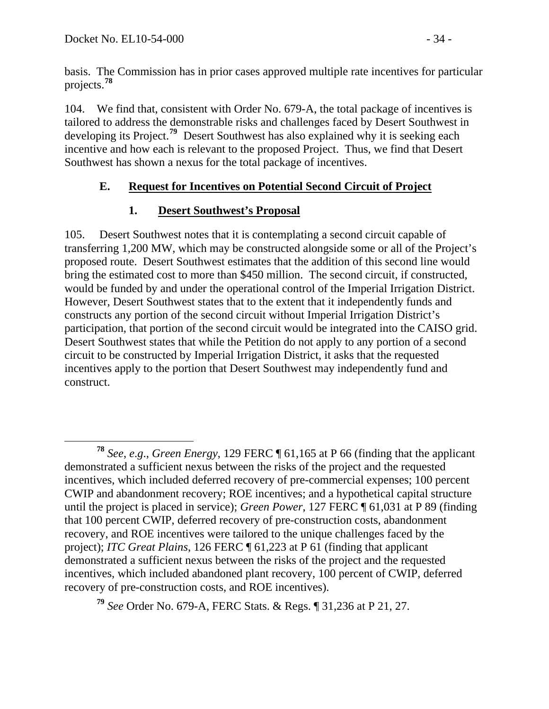basis. The Commission has in prior cases approved multiple rate incentives for particular projects.**<sup>78</sup>**

104. We find that, consistent with Order No. 679-A, the total package of incentives is tailored to address the demonstrable risks and challenges faced by Desert Southwest in developing its Project.**[79](#page-33-0)** Desert Southwest has also explained why it is seeking each incentive and how each is relevant to the proposed Project. Thus, we find that Desert Southwest has shown a nexus for the total package of incentives.

## **E. Request for Incentives on Potential Second Circuit of Project**

## **1. Desert Southwest's Proposal**

105. Desert Southwest notes that it is contemplating a second circuit capable of transferring 1,200 MW, which may be constructed alongside some or all of the Project's proposed route. Desert Southwest estimates that the addition of this second line would bring the estimated cost to more than \$450 million. The second circuit, if constructed, would be funded by and under the operational control of the Imperial Irrigation District. However, Desert Southwest states that to the extent that it independently funds and constructs any portion of the second circuit without Imperial Irrigation District's participation, that portion of the second circuit would be integrated into the CAISO grid. Desert Southwest states that while the Petition do not apply to any portion of a second circuit to be constructed by Imperial Irrigation District, it asks that the requested incentives apply to the portion that Desert Southwest may independently fund and construct.

**<sup>78</sup>** *See*, *e*.*g*., *Green Energy*, 129 FERC ¶ 61,165 at P 66 (finding that the applicant demonstrated a sufficient nexus between the risks of the project and the requested incentives, which included deferred recovery of pre-commercial expenses; 100 percent CWIP and abandonment recovery; ROE incentives; and a hypothetical capital structure until the project is placed in service); *Green Power*, 127 FERC ¶ 61,031 at P 89 (finding that 100 percent CWIP, deferred recovery of pre-construction costs, abandonment recovery, and ROE incentives were tailored to the unique challenges faced by the project); *ITC Great Plains*, 126 FERC ¶ 61,223 at P 61 (finding that applicant demonstrated a sufficient nexus between the risks of the project and the requested incentives, which included abandoned plant recovery, 100 percent of CWIP, deferred recovery of pre-construction costs, and ROE incentives).

<span id="page-33-0"></span>**<sup>79</sup>** *See* Order No. 679-A, FERC Stats. & Regs. ¶ 31,236 at P 21, 27.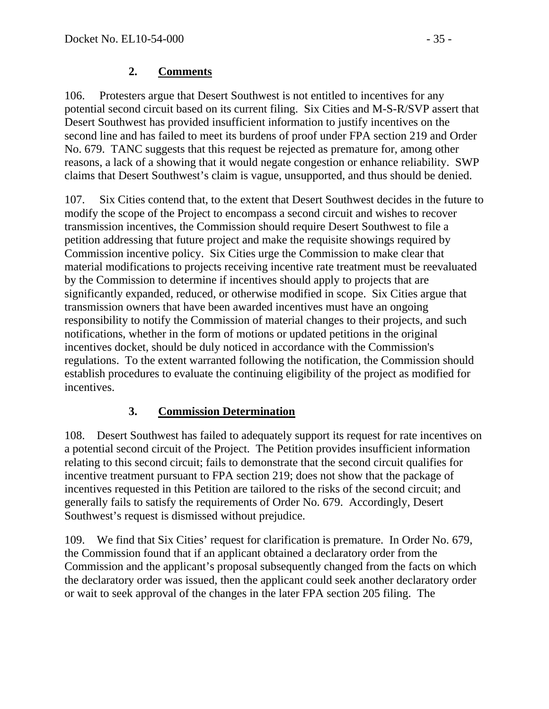#### **2. Comments**

106. Protesters argue that Desert Southwest is not entitled to incentives for any potential second circuit based on its current filing. Six Cities and M-S-R/SVP assert that Desert Southwest has provided insufficient information to justify incentives on the second line and has failed to meet its burdens of proof under FPA section 219 and Order No. 679. TANC suggests that this request be rejected as premature for, among other reasons, a lack of a showing that it would negate congestion or enhance reliability. SWP claims that Desert Southwest's claim is vague, unsupported, and thus should be denied.

107. Six Cities contend that, to the extent that Desert Southwest decides in the future to modify the scope of the Project to encompass a second circuit and wishes to recover transmission incentives, the Commission should require Desert Southwest to file a petition addressing that future project and make the requisite showings required by Commission incentive policy. Six Cities urge the Commission to make clear that material modifications to projects receiving incentive rate treatment must be reevaluated by the Commission to determine if incentives should apply to projects that are significantly expanded, reduced, or otherwise modified in scope. Six Cities argue that transmission owners that have been awarded incentives must have an ongoing responsibility to notify the Commission of material changes to their projects, and such notifications, whether in the form of motions or updated petitions in the original incentives docket, should be duly noticed in accordance with the Commission's regulations. To the extent warranted following the notification, the Commission should establish procedures to evaluate the continuing eligibility of the project as modified for incentives.

### **3. Commission Determination**

108. Desert Southwest has failed to adequately support its request for rate incentives on a potential second circuit of the Project. The Petition provides insufficient information relating to this second circuit; fails to demonstrate that the second circuit qualifies for incentive treatment pursuant to FPA section 219; does not show that the package of incentives requested in this Petition are tailored to the risks of the second circuit; and generally fails to satisfy the requirements of Order No. 679. Accordingly, Desert Southwest's request is dismissed without prejudice.

109. We find that Six Cities' request for clarification is premature. In Order No. 679, the Commission found that if an applicant obtained a declaratory order from the Commission and the applicant's proposal subsequently changed from the facts on which the declaratory order was issued, then the applicant could seek another declaratory order or wait to seek approval of the changes in the later FPA section 205 filing. The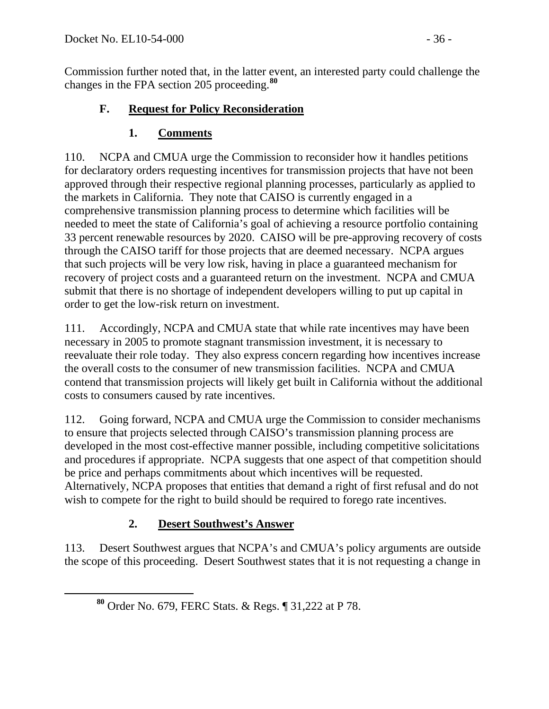Commission further noted that, in the latter event, an interested party could challenge the changes in the FPA section 205 proceeding.**<sup>80</sup>**

### **F. Request for Policy Reconsideration**

## **1. Comments**

110. NCPA and CMUA urge the Commission to reconsider how it handles petitions for declaratory orders requesting incentives for transmission projects that have not been approved through their respective regional planning processes, particularly as applied to the markets in California. They note that CAISO is currently engaged in a comprehensive transmission planning process to determine which facilities will be needed to meet the state of California's goal of achieving a resource portfolio containing 33 percent renewable resources by 2020. CAISO will be pre-approving recovery of costs through the CAISO tariff for those projects that are deemed necessary. NCPA argues that such projects will be very low risk, having in place a guaranteed mechanism for recovery of project costs and a guaranteed return on the investment. NCPA and CMUA submit that there is no shortage of independent developers willing to put up capital in order to get the low-risk return on investment.

111. Accordingly, NCPA and CMUA state that while rate incentives may have been necessary in 2005 to promote stagnant transmission investment, it is necessary to reevaluate their role today. They also express concern regarding how incentives increase the overall costs to the consumer of new transmission facilities. NCPA and CMUA contend that transmission projects will likely get built in California without the additional costs to consumers caused by rate incentives.

112. Going forward, NCPA and CMUA urge the Commission to consider mechanisms to ensure that projects selected through CAISO's transmission planning process are developed in the most cost-effective manner possible, including competitive solicitations and procedures if appropriate. NCPA suggests that one aspect of that competition should be price and perhaps commitments about which incentives will be requested. Alternatively, NCPA proposes that entities that demand a right of first refusal and do not wish to compete for the right to build should be required to forego rate incentives.

# **2. Desert Southwest's Answer**

113. Desert Southwest argues that NCPA's and CMUA's policy arguments are outside the scope of this proceeding. Desert Southwest states that it is not requesting a change in

**<sup>80</sup>** Order No. 679, FERC Stats. & Regs. ¶ 31,222 at P 78.